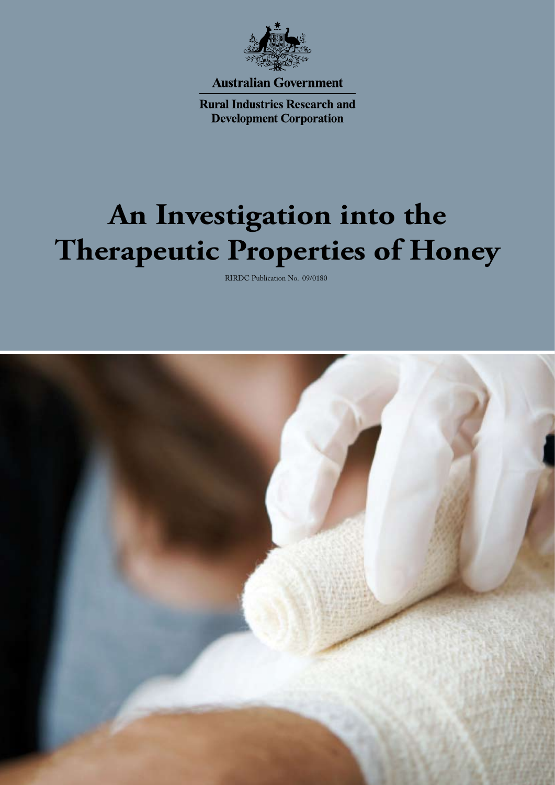

**Australian Government** 

**Rural Industries Research and Development Corporation** 

# **An Investigation into the Therapeutic Properties of Honey**

RIRDC Publication No. 09/0180

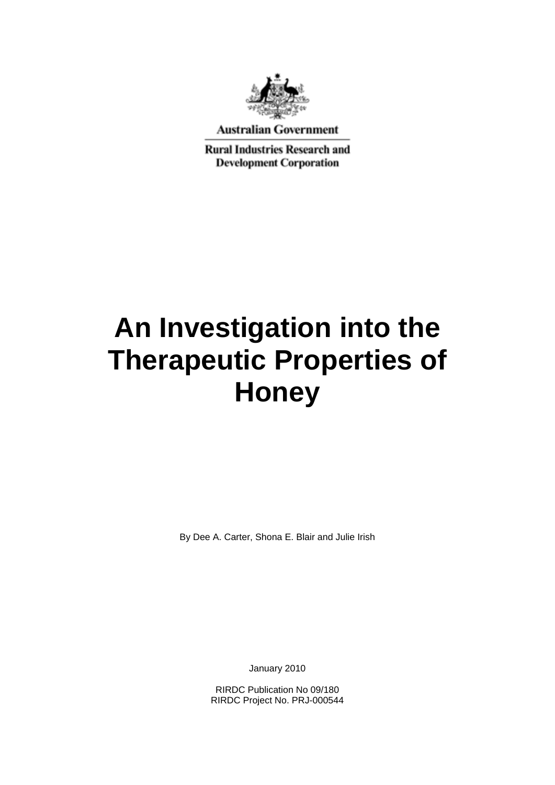

**Australian Government** 

**Rural Industries Research and Development Corporation** 

# **An Investigation into the Therapeutic Properties of Honey**

By Dee A. Carter, Shona E. Blair and Julie Irish

January 2010

RIRDC Publication No 09/180 RIRDC Project No. PRJ-000544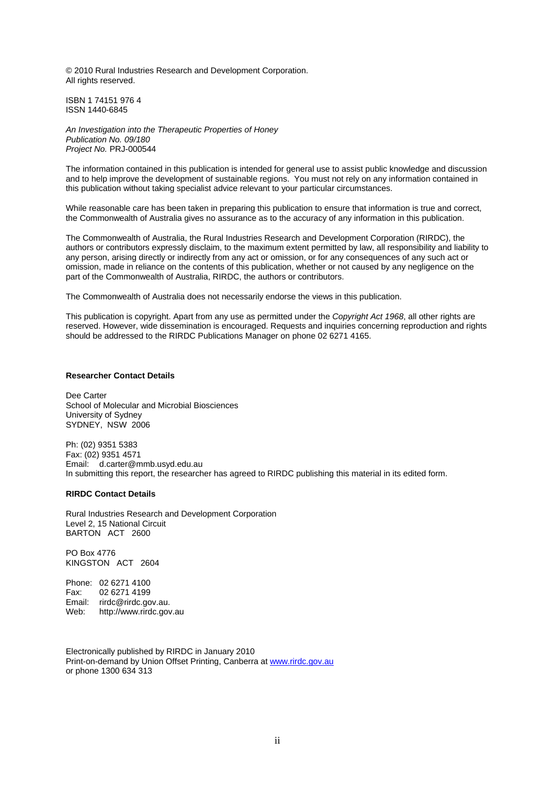© 2010 Rural Industries Research and Development Corporation. All rights reserved.

ISBN 1 74151 976 4 ISSN 1440-6845

*An Investigation into the Therapeutic Properties of Honey Publication No. 09/180 Project No.* PRJ-000544

The information contained in this publication is intended for general use to assist public knowledge and discussion and to help improve the development of sustainable regions. You must not rely on any information contained in this publication without taking specialist advice relevant to your particular circumstances.

While reasonable care has been taken in preparing this publication to ensure that information is true and correct, the Commonwealth of Australia gives no assurance as to the accuracy of any information in this publication.

The Commonwealth of Australia, the Rural Industries Research and Development Corporation (RIRDC), the authors or contributors expressly disclaim, to the maximum extent permitted by law, all responsibility and liability to any person, arising directly or indirectly from any act or omission, or for any consequences of any such act or omission, made in reliance on the contents of this publication, whether or not caused by any negligence on the part of the Commonwealth of Australia, RIRDC, the authors or contributors.

The Commonwealth of Australia does not necessarily endorse the views in this publication.

This publication is copyright. Apart from any use as permitted under the *Copyright Act 1968*, all other rights are reserved. However, wide dissemination is encouraged. Requests and inquiries concerning reproduction and rights should be addressed to the RIRDC Publications Manager on phone 02 6271 4165.

#### **Researcher Contact Details**

Dee Carter School of Molecular and Microbial Biosciences University of Sydney SYDNEY, NSW 2006

Ph: (02) 9351 5383 Fax: (02) 9351 4571 Email: d.carter@mmb.usyd.edu.au In submitting this report, the researcher has agreed to RIRDC publishing this material in its edited form.

#### **RIRDC Contact Details**

Rural Industries Research and Development Corporation Level 2, 15 National Circuit BARTON ACT 2600

PO Box 4776 KINGSTON ACT 2604

Phone: 02 6271 4100 Fax: 02 6271 4199 Email: rirdc@rirdc.gov.au. Web: http://www.rirdc.gov.au

Electronically published by RIRDC in January 2010 Print-on-demand by Union Offset Printing, Canberra at [www.rirdc.gov.au](http://www.rirdc.gov.au/) or phone 1300 634 313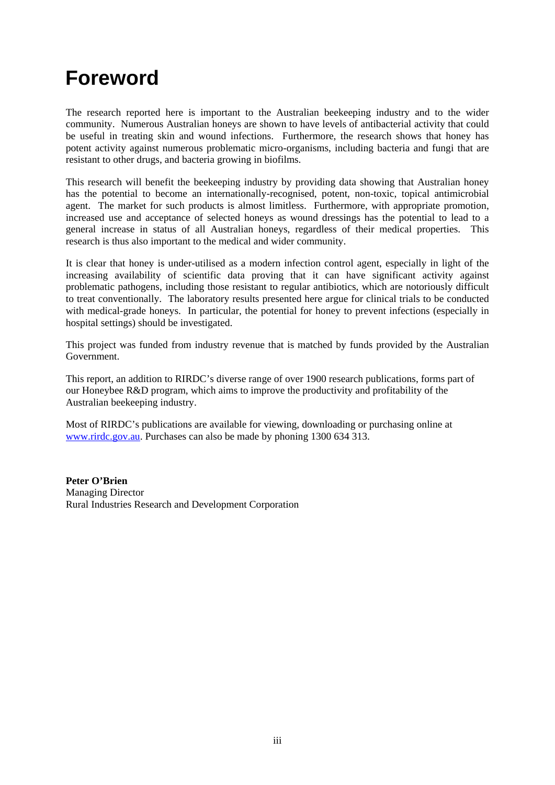### <span id="page-4-0"></span>**Foreword**

The research reported here is important to the Australian beekeeping industry and to the wider community. Numerous Australian honeys are shown to have levels of antibacterial activity that could be useful in treating skin and wound infections. Furthermore, the research shows that honey has potent activity against numerous problematic micro-organisms, including bacteria and fungi that are resistant to other drugs, and bacteria growing in biofilms.

This research will benefit the beekeeping industry by providing data showing that Australian honey has the potential to become an internationally-recognised, potent, non-toxic, topical antimicrobial agent. The market for such products is almost limitless. Furthermore, with appropriate promotion, increased use and acceptance of selected honeys as wound dressings has the potential to lead to a general increase in status of all Australian honeys, regardless of their medical properties. This research is thus also important to the medical and wider community.

It is clear that honey is under-utilised as a modern infection control agent, especially in light of the increasing availability of scientific data proving that it can have significant activity against problematic pathogens, including those resistant to regular antibiotics, which are notoriously difficult to treat conventionally. The laboratory results presented here argue for clinical trials to be conducted with medical-grade honeys. In particular, the potential for honey to prevent infections (especially in hospital settings) should be investigated.

This project was funded from industry revenue that is matched by funds provided by the Australian Government.

This report, an addition to RIRDC's diverse range of over 1900 research publications, forms part of our Honeybee R&D program, which aims to improve the productivity and profitability of the Australian beekeeping industry.

Most of RIRDC's publications are available for viewing, downloading or purchasing online at [www.rirdc.gov.au](http://www.rirdc.gov.au/). Purchases can also be made by phoning 1300 634 313.

**Peter O'Brien**  Managing Director Rural Industries Research and Development Corporation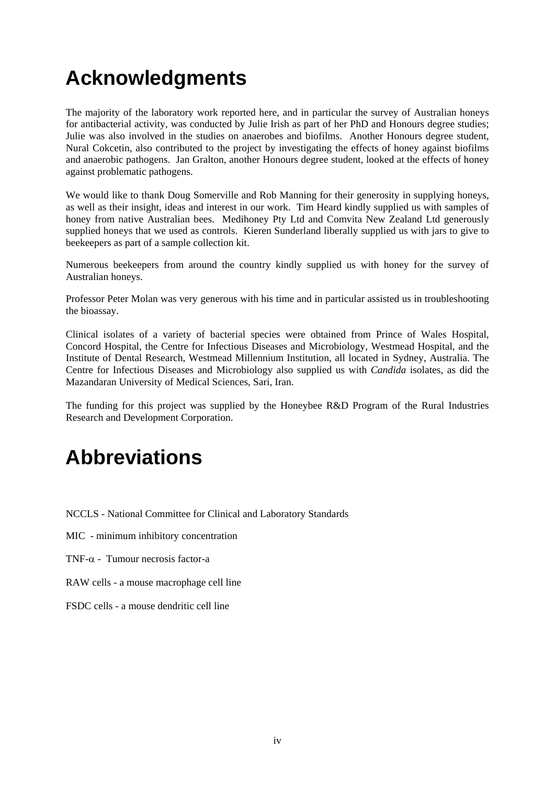### <span id="page-5-0"></span>**Acknowledgments**

The majority of the laboratory work reported here, and in particular the survey of Australian honeys for antibacterial activity, was conducted by Julie Irish as part of her PhD and Honours degree studies; Julie was also involved in the studies on anaerobes and biofilms. Another Honours degree student, Nural Cokcetin, also contributed to the project by investigating the effects of honey against biofilms and anaerobic pathogens. Jan Gralton, another Honours degree student, looked at the effects of honey against problematic pathogens.

We would like to thank Doug Somerville and Rob Manning for their generosity in supplying honeys, as well as their insight, ideas and interest in our work. Tim Heard kindly supplied us with samples of honey from native Australian bees. Medihoney Pty Ltd and Comvita New Zealand Ltd generously supplied honeys that we used as controls. Kieren Sunderland liberally supplied us with jars to give to beekeepers as part of a sample collection kit.

Numerous beekeepers from around the country kindly supplied us with honey for the survey of Australian honeys.

Professor Peter Molan was very generous with his time and in particular assisted us in troubleshooting the bioassay.

Clinical isolates of a variety of bacterial species were obtained from Prince of Wales Hospital, Concord Hospital, the Centre for Infectious Diseases and Microbiology, Westmead Hospital, and the Institute of Dental Research, Westmead Millennium Institution, all located in Sydney, Australia. The Centre for Infectious Diseases and Microbiology also supplied us with *Candida* isolates, as did the Mazandaran University of Medical Sciences, Sari, Iran.

The funding for this project was supplied by the Honeybee R&D Program of the Rural Industries Research and Development Corporation.

### **Abbreviations**

NCCLS - National Committee for Clinical and Laboratory Standards

MIC - minimum inhibitory concentration

TNF- $\alpha$  - Tumour necrosis factor-a

RAW cells - a mouse macrophage cell line

FSDC cells - a mouse dendritic cell line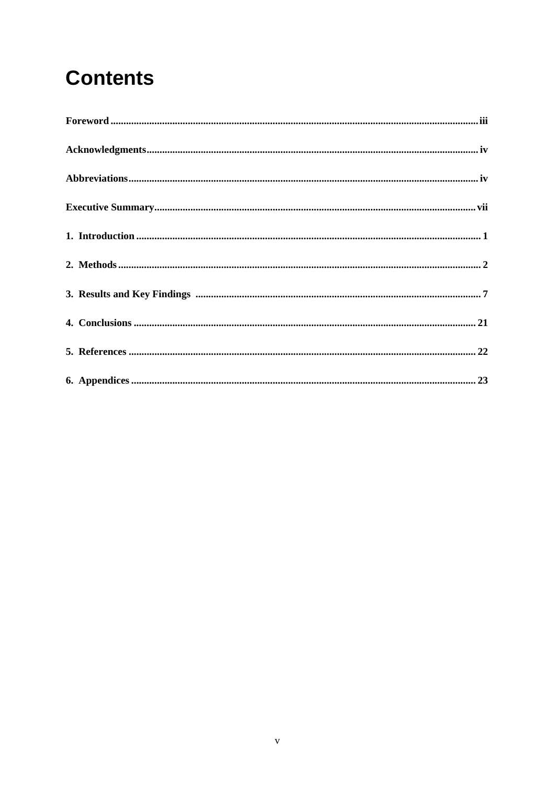## **Contents**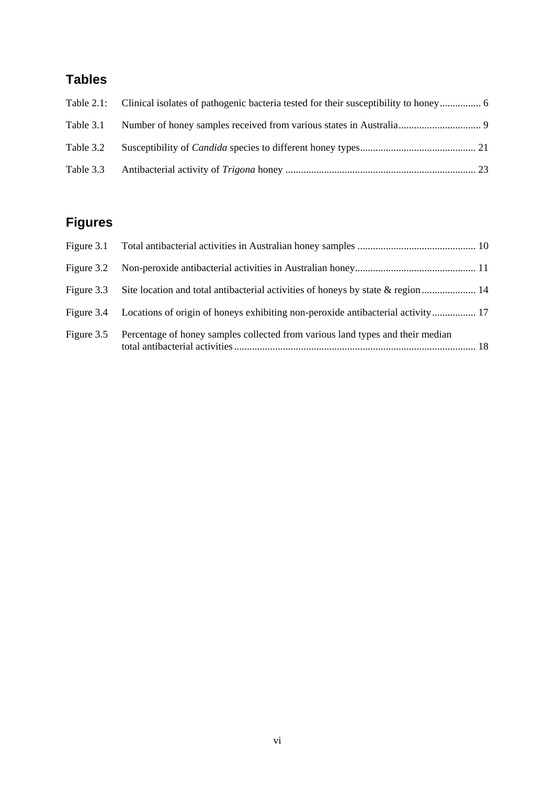#### **Tables**

| Table 3.2 |  |
|-----------|--|
|           |  |

### **Figures**

| Figure 3.2 |                                                                                            |  |
|------------|--------------------------------------------------------------------------------------------|--|
|            | Figure 3.3 Site location and total antibacterial activities of honeys by state & region 14 |  |
|            | Figure 3.4 Locations of origin of honeys exhibiting non-peroxide antibacterial activity 17 |  |
| Figure 3.5 | Percentage of honey samples collected from various land types and their median             |  |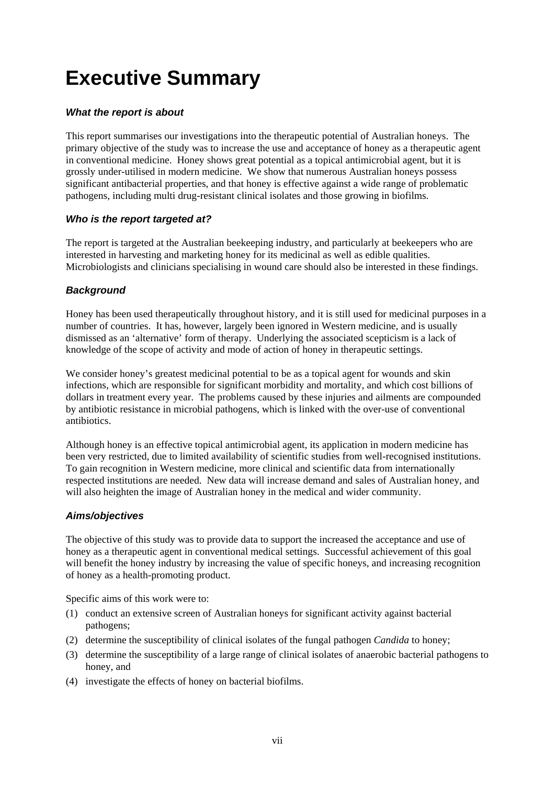### <span id="page-8-0"></span>**Executive Summary**

#### *What the report is about*

This report summarises our investigations into the therapeutic potential of Australian honeys. The primary objective of the study was to increase the use and acceptance of honey as a therapeutic agent in conventional medicine. Honey shows great potential as a topical antimicrobial agent, but it is grossly under-utilised in modern medicine. We show that numerous Australian honeys possess significant antibacterial properties, and that honey is effective against a wide range of problematic pathogens, including multi drug-resistant clinical isolates and those growing in biofilms.

#### *Who is the report targeted at?*

The report is targeted at the Australian beekeeping industry, and particularly at beekeepers who are interested in harvesting and marketing honey for its medicinal as well as edible qualities. Microbiologists and clinicians specialising in wound care should also be interested in these findings.

#### *Background*

Honey has been used therapeutically throughout history, and it is still used for medicinal purposes in a number of countries. It has, however, largely been ignored in Western medicine, and is usually dismissed as an 'alternative' form of therapy. Underlying the associated scepticism is a lack of knowledge of the scope of activity and mode of action of honey in therapeutic settings.

We consider honey's greatest medicinal potential to be as a topical agent for wounds and skin infections, which are responsible for significant morbidity and mortality, and which cost billions of dollars in treatment every year. The problems caused by these injuries and ailments are compounded by antibiotic resistance in microbial pathogens, which is linked with the over-use of conventional antibiotics.

Although honey is an effective topical antimicrobial agent, its application in modern medicine has been very restricted, due to limited availability of scientific studies from well-recognised institutions. To gain recognition in Western medicine, more clinical and scientific data from internationally respected institutions are needed. New data will increase demand and sales of Australian honey, and will also heighten the image of Australian honey in the medical and wider community.

#### *Aims/objectives*

The objective of this study was to provide data to support the increased the acceptance and use of honey as a therapeutic agent in conventional medical settings. Successful achievement of this goal will benefit the honey industry by increasing the value of specific honeys, and increasing recognition of honey as a health-promoting product.

Specific aims of this work were to:

- (1) conduct an extensive screen of Australian honeys for significant activity against bacterial pathogens;
- (2) determine the susceptibility of clinical isolates of the fungal pathogen *Candida* to honey;
- (3) determine the susceptibility of a large range of clinical isolates of anaerobic bacterial pathogens to honey, and
- (4) investigate the effects of honey on bacterial biofilms.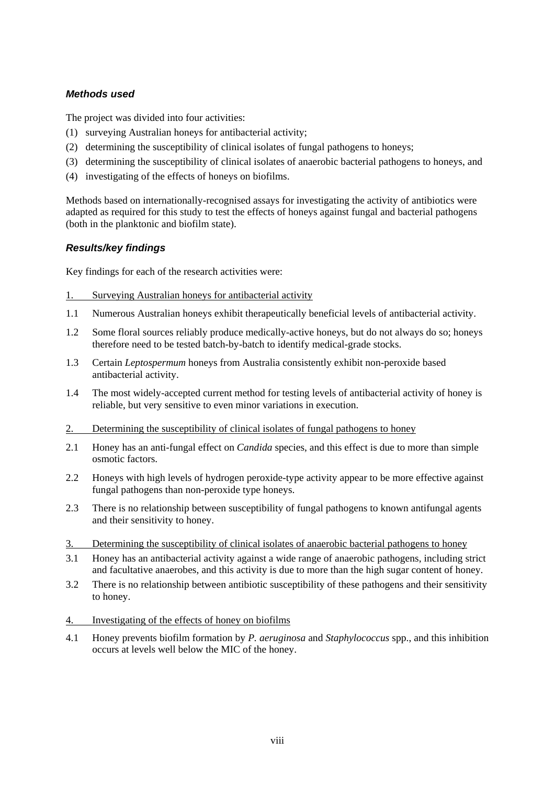#### *Methods used*

The project was divided into four activities:

- (1) surveying Australian honeys for antibacterial activity;
- (2) determining the susceptibility of clinical isolates of fungal pathogens to honeys;
- (3) determining the susceptibility of clinical isolates of anaerobic bacterial pathogens to honeys, and
- (4) investigating of the effects of honeys on biofilms.

Methods based on internationally-recognised assays for investigating the activity of antibiotics were adapted as required for this study to test the effects of honeys against fungal and bacterial pathogens (both in the planktonic and biofilm state).

#### *Results/key findings*

Key findings for each of the research activities were:

- 1. Surveying Australian honeys for antibacterial activity
- 1.1 Numerous Australian honeys exhibit therapeutically beneficial levels of antibacterial activity.
- 1.2 Some floral sources reliably produce medically-active honeys, but do not always do so; honeys therefore need to be tested batch-by-batch to identify medical-grade stocks.
- 1.3 Certain *Leptospermum* honeys from Australia consistently exhibit non-peroxide based antibacterial activity.
- 1.4 The most widely-accepted current method for testing levels of antibacterial activity of honey is reliable, but very sensitive to even minor variations in execution.
- 2. Determining the susceptibility of clinical isolates of fungal pathogens to honey
- 2.1 Honey has an anti-fungal effect on *Candida* species, and this effect is due to more than simple osmotic factors.
- 2.2 Honeys with high levels of hydrogen peroxide-type activity appear to be more effective against fungal pathogens than non-peroxide type honeys.
- 2.3 There is no relationship between susceptibility of fungal pathogens to known antifungal agents and their sensitivity to honey.
- 3. Determining the susceptibility of clinical isolates of anaerobic bacterial pathogens to honey
- 3.1 Honey has an antibacterial activity against a wide range of anaerobic pathogens, including strict and facultative anaerobes, and this activity is due to more than the high sugar content of honey.
- 3.2 There is no relationship between antibiotic susceptibility of these pathogens and their sensitivity to honey.
- 4. Investigating of the effects of honey on biofilms
- 4.1 Honey prevents biofilm formation by *P. aeruginosa* and *Staphylococcus* spp., and this inhibition occurs at levels well below the MIC of the honey.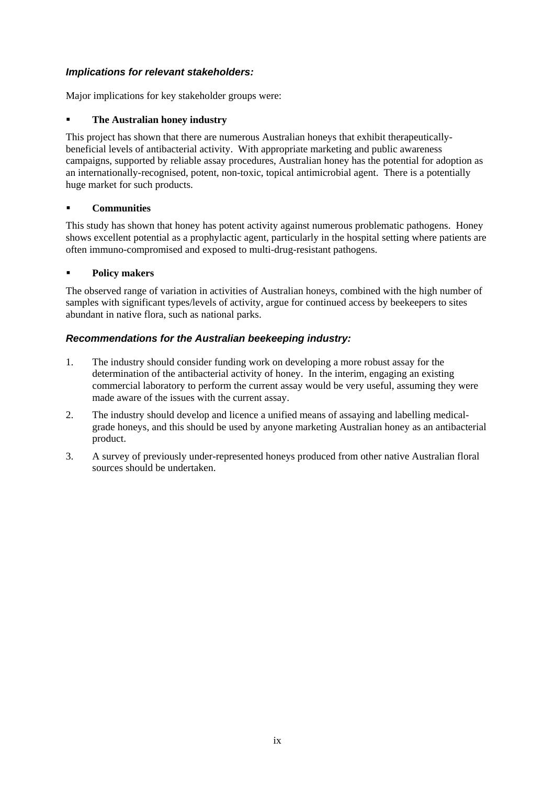#### *Implications for relevant stakeholders:*

Major implications for key stakeholder groups were:

#### **The Australian honey industry**

This project has shown that there are numerous Australian honeys that exhibit therapeuticallybeneficial levels of antibacterial activity. With appropriate marketing and public awareness campaigns, supported by reliable assay procedures, Australian honey has the potential for adoption as an internationally-recognised, potent, non-toxic, topical antimicrobial agent. There is a potentially huge market for such products.

#### **Communities**

This study has shown that honey has potent activity against numerous problematic pathogens. Honey shows excellent potential as a prophylactic agent, particularly in the hospital setting where patients are often immuno-compromised and exposed to multi-drug-resistant pathogens.

#### **Policy makers**

The observed range of variation in activities of Australian honeys, combined with the high number of samples with significant types/levels of activity, argue for continued access by beekeepers to sites abundant in native flora, such as national parks.

#### *Recommendations for the Australian beekeeping industry:*

- 1. The industry should consider funding work on developing a more robust assay for the determination of the antibacterial activity of honey. In the interim, engaging an existing commercial laboratory to perform the current assay would be very useful, assuming they were made aware of the issues with the current assay.
- 2. The industry should develop and licence a unified means of assaying and labelling medicalgrade honeys, and this should be used by anyone marketing Australian honey as an antibacterial product.
- 3. A survey of previously under-represented honeys produced from other native Australian floral sources should be undertaken.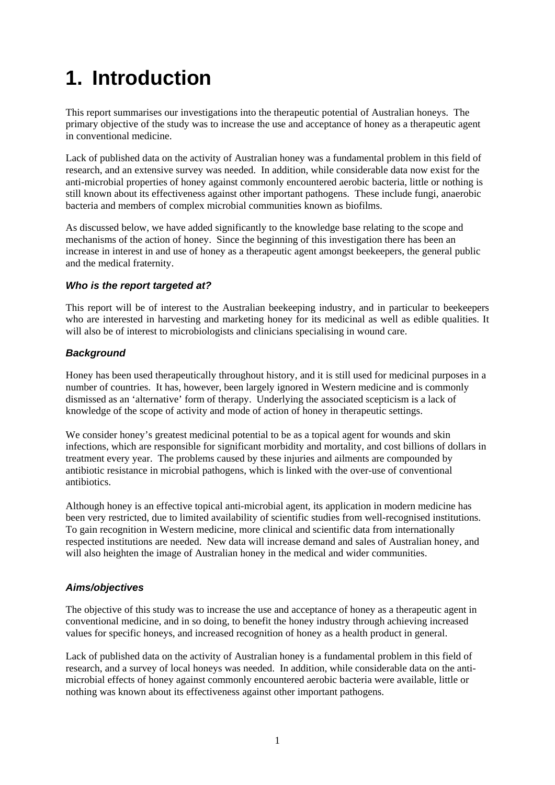## **1. Introduction**

This report summarises our investigations into the therapeutic potential of Australian honeys. The primary objective of the study was to increase the use and acceptance of honey as a therapeutic agent in conventional medicine.

Lack of published data on the activity of Australian honey was a fundamental problem in this field of research, and an extensive survey was needed. In addition, while considerable data now exist for the anti-microbial properties of honey against commonly encountered aerobic bacteria, little or nothing is still known about its effectiveness against other important pathogens. These include fungi, anaerobic bacteria and members of complex microbial communities known as biofilms.

As discussed below, we have added significantly to the knowledge base relating to the scope and mechanisms of the action of honey. Since the beginning of this investigation there has been an increase in interest in and use of honey as a therapeutic agent amongst beekeepers, the general public and the medical fraternity.

#### *Who is the report targeted at?*

This report will be of interest to the Australian beekeeping industry, and in particular to beekeepers who are interested in harvesting and marketing honey for its medicinal as well as edible qualities. It will also be of interest to microbiologists and clinicians specialising in wound care.

#### *Background*

Honey has been used therapeutically throughout history, and it is still used for medicinal purposes in a number of countries. It has, however, been largely ignored in Western medicine and is commonly dismissed as an 'alternative' form of therapy. Underlying the associated scepticism is a lack of knowledge of the scope of activity and mode of action of honey in therapeutic settings.

We consider honey's greatest medicinal potential to be as a topical agent for wounds and skin infections, which are responsible for significant morbidity and mortality, and cost billions of dollars in treatment every year. The problems caused by these injuries and ailments are compounded by antibiotic resistance in microbial pathogens, which is linked with the over-use of conventional antibiotics.

Although honey is an effective topical anti-microbial agent, its application in modern medicine has been very restricted, due to limited availability of scientific studies from well-recognised institutions. To gain recognition in Western medicine, more clinical and scientific data from internationally respected institutions are needed. New data will increase demand and sales of Australian honey, and will also heighten the image of Australian honey in the medical and wider communities.

#### *Aims/objectives*

The objective of this study was to increase the use and acceptance of honey as a therapeutic agent in conventional medicine, and in so doing, to benefit the honey industry through achieving increased values for specific honeys, and increased recognition of honey as a health product in general.

Lack of published data on the activity of Australian honey is a fundamental problem in this field of research, and a survey of local honeys was needed. In addition, while considerable data on the antimicrobial effects of honey against commonly encountered aerobic bacteria were available, little or nothing was known about its effectiveness against other important pathogens.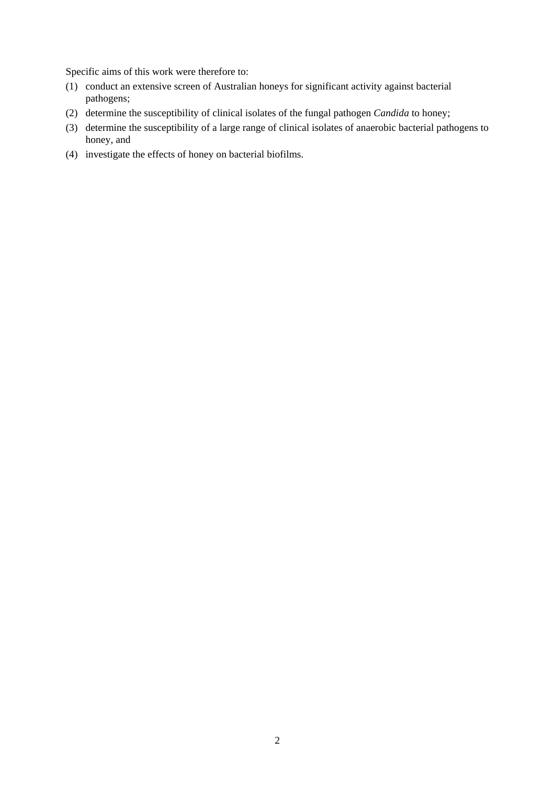Specific aims of this work were therefore to:

- (1) conduct an extensive screen of Australian honeys for significant activity against bacterial pathogens;
- (2) determine the susceptibility of clinical isolates of the fungal pathogen *Candida* to honey;
- (3) determine the susceptibility of a large range of clinical isolates of anaerobic bacterial pathogens to honey, and
- (4) investigate the effects of honey on bacterial biofilms.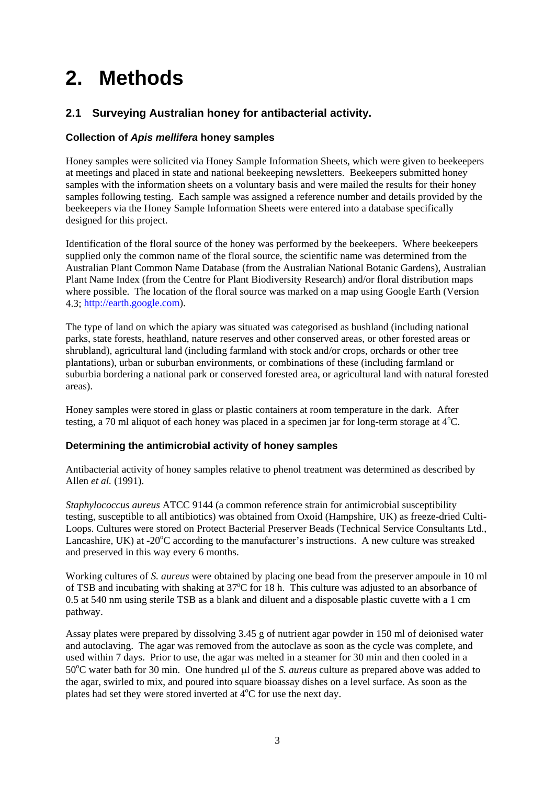### **2. Methods**

#### **2.1 Surveying Australian honey for antibacterial activity.**

#### **Collection of** *Apis mellifera* **honey samples**

Honey samples were solicited via Honey Sample Information Sheets, which were given to beekeepers at meetings and placed in state and national beekeeping newsletters. Beekeepers submitted honey samples with the information sheets on a voluntary basis and were mailed the results for their honey samples following testing. Each sample was assigned a reference number and details provided by the beekeepers via the Honey Sample Information Sheets were entered into a database specifically designed for this project.

Identification of the floral source of the honey was performed by the beekeepers. Where beekeepers supplied only the common name of the floral source, the scientific name was determined from the Australian Plant Common Name Database (from the Australian National Botanic Gardens), Australian Plant Name Index (from the Centre for Plant Biodiversity Research) and/or floral distribution maps where possible. The location of the floral source was marked on a map using Google Earth (Version 4.3; [http://earth.google.com\)](http://earth.google.com/).

The type of land on which the apiary was situated was categorised as bushland (including national parks, state forests, heathland, nature reserves and other conserved areas, or other forested areas or shrubland), agricultural land (including farmland with stock and/or crops, orchards or other tree plantations), urban or suburban environments, or combinations of these (including farmland or suburbia bordering a national park or conserved forested area, or agricultural land with natural forested areas).

Honey samples were stored in glass or plastic containers at room temperature in the dark. After testing, a 70 ml aliquot of each honey was placed in a specimen jar for long-term storage at  $4^{\circ}$ C.

#### **Determining the antimicrobial activity of honey samples**

Antibacterial activity of honey samples relative to phenol treatment was determined as described by Allen *et al.* (1991).

*Staphylococcus aureus* ATCC 9144 (a common reference strain for antimicrobial susceptibility testing, susceptible to all antibiotics) was obtained from Oxoid (Hampshire, UK) as freeze-dried Culti-Loops. Cultures were stored on Protect Bacterial Preserver Beads (Technical Service Consultants Ltd., Lancashire, UK) at -20 $\degree$ C according to the manufacturer's instructions. A new culture was streaked and preserved in this way every 6 months.

Working cultures of *S. aureus* were obtained by placing one bead from the preserver ampoule in 10 ml of TSB and incubating with shaking at 37°C for 18 h. This culture was adjusted to an absorbance of 0.5 at 540 nm using sterile TSB as a blank and diluent and a disposable plastic cuvette with a 1 cm pathway.

Assay plates were prepared by dissolving 3.45 g of nutrient agar powder in 150 ml of deionised water and autoclaving. The agar was removed from the autoclave as soon as the cycle was complete, and used within 7 days. Prior to use, the agar was melted in a steamer for 30 min and then cooled in a 50<sup>o</sup>C water bath for 30 min. One hundred μl of the *S. aureus* culture as prepared above was added to the agar, swirled to mix, and poured into square bioassay dishes on a level surface. As soon as the plates had set they were stored inverted at  $\widehat{A}^{\circ}C$  for use the next day.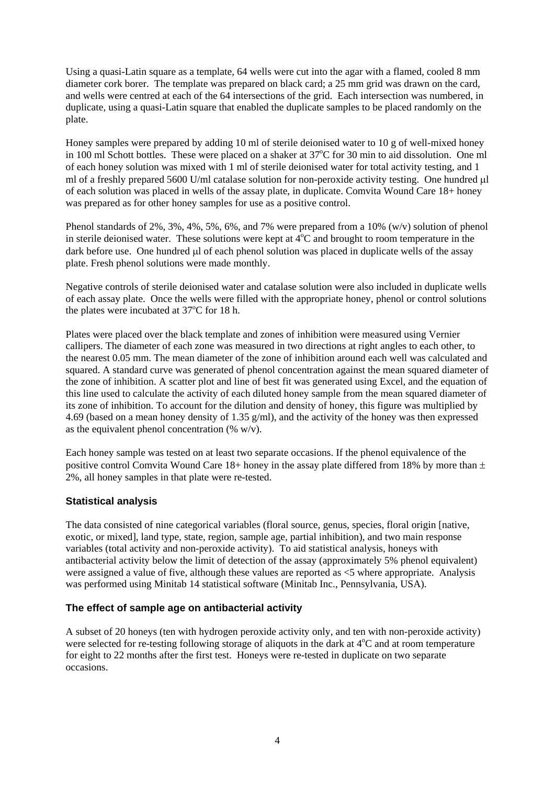Using a quasi-Latin square as a template, 64 wells were cut into the agar with a flamed, cooled 8 mm diameter cork borer. The template was prepared on black card; a 25 mm grid was drawn on the card, and wells were centred at each of the 64 intersections of the grid. Each intersection was numbered, in duplicate, using a quasi-Latin square that enabled the duplicate samples to be placed randomly on the plate.

Honey samples were prepared by adding 10 ml of sterile deionised water to 10 g of well-mixed honey in 100 ml Schott bottles. These were placed on a shaker at 37°C for 30 min to aid dissolution. One ml of each honey solution was mixed with 1 ml of sterile deionised water for total activity testing, and 1 ml of a freshly prepared 5600 U/ml catalase solution for non-peroxide activity testing. One hundred μl of each solution was placed in wells of the assay plate, in duplicate. Comvita Wound Care 18+ honey was prepared as for other honey samples for use as a positive control.

Phenol standards of 2%, 3%, 4%, 5%, 6%, and 7% were prepared from a 10% (w/v) solution of phenol in sterile deionised water. These solutions were kept at  $4^{\circ}C$  and brought to room temperature in the dark before use. One hundred μl of each phenol solution was placed in duplicate wells of the assay plate. Fresh phenol solutions were made monthly.

Negative controls of sterile deionised water and catalase solution were also included in duplicate wells of each assay plate. Once the wells were filled with the appropriate honey, phenol or control solutions the plates were incubated at  $37^{\circ}$ C for 18 h.

Plates were placed over the black template and zones of inhibition were measured using Vernier callipers. The diameter of each zone was measured in two directions at right angles to each other, to the nearest 0.05 mm. The mean diameter of the zone of inhibition around each well was calculated and squared. A standard curve was generated of phenol concentration against the mean squared diameter of the zone of inhibition. A scatter plot and line of best fit was generated using Excel, and the equation of this line used to calculate the activity of each diluted honey sample from the mean squared diameter of its zone of inhibition. To account for the dilution and density of honey, this figure was multiplied by 4.69 (based on a mean honey density of 1.35 g/ml), and the activity of the honey was then expressed as the equivalent phenol concentration (%  $w/v$ ).

Each honey sample was tested on at least two separate occasions. If the phenol equivalence of the positive control Comvita Wound Care 18+ honey in the assay plate differed from 18% by more than  $\pm$ 2%, all honey samples in that plate were re-tested.

#### **Statistical analysis**

The data consisted of nine categorical variables (floral source, genus, species, floral origin [native, exotic, or mixed], land type, state, region, sample age, partial inhibition), and two main response variables (total activity and non-peroxide activity). To aid statistical analysis, honeys with antibacterial activity below the limit of detection of the assay (approximately 5% phenol equivalent) were assigned a value of five, although these values are reported as <5 where appropriate. Analysis was performed using Minitab 14 statistical software (Minitab Inc., Pennsylvania, USA).

#### **The effect of sample age on antibacterial activity**

A subset of 20 honeys (ten with hydrogen peroxide activity only, and ten with non-peroxide activity) were selected for re-testing following storage of aliquots in the dark at 4°C and at room temperature for eight to 22 months after the first test. Honeys were re-tested in duplicate on two separate occasions.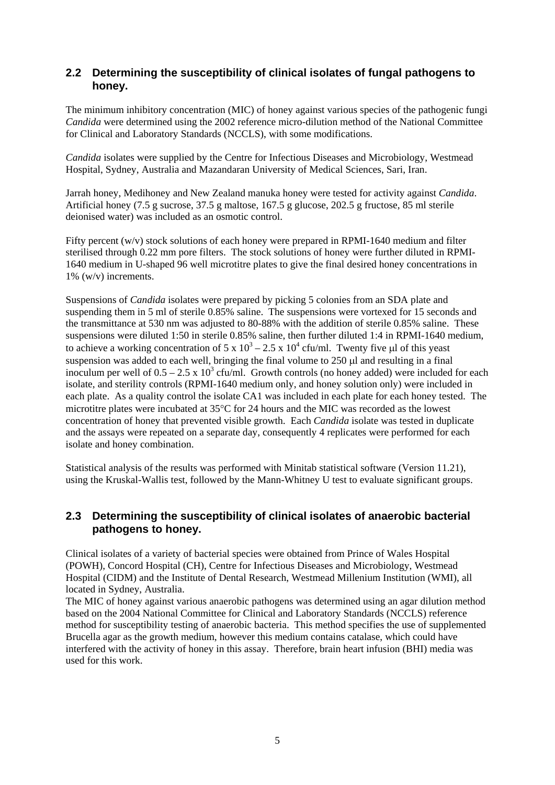#### **2.2 Determining the susceptibility of clinical isolates of fungal pathogens to honey.**

The minimum inhibitory concentration (MIC) of honey against various species of the pathogenic fungi *Candida* were determined using the 2002 reference micro-dilution method of the National Committee for Clinical and Laboratory Standards (NCCLS), with some modifications.

*Candida* isolates were supplied by the Centre for Infectious Diseases and Microbiology, Westmead Hospital, Sydney, Australia and Mazandaran University of Medical Sciences, Sari, Iran.

Jarrah honey, Medihoney and New Zealand manuka honey were tested for activity against *Candida*. Artificial honey (7.5 g sucrose, 37.5 g maltose, 167.5 g glucose, 202.5 g fructose, 85 ml sterile deionised water) was included as an osmotic control.

Fifty percent (w/v) stock solutions of each honey were prepared in RPMI-1640 medium and filter sterilised through 0.22 mm pore filters. The stock solutions of honey were further diluted in RPMI-1640 medium in U-shaped 96 well microtitre plates to give the final desired honey concentrations in 1% (w/v) increments.

Suspensions of *Candida* isolates were prepared by picking 5 colonies from an SDA plate and suspending them in 5 ml of sterile 0.85% saline. The suspensions were vortexed for 15 seconds and the transmittance at 530 nm was adjusted to 80-88% with the addition of sterile 0.85% saline. These suspensions were diluted 1:50 in sterile 0.85% saline, then further diluted 1:4 in RPMI-1640 medium, to achieve a working concentration of 5 x  $10^3 - 2.5$  x  $10^4$  cfu/ml. Twenty five  $\mu$ l of this yeast suspension was added to each well, bringing the final volume to 250 μl and resulting in a final inoculum per well of  $0.5 - 2.5 \times 10^3$  cfu/ml. Growth controls (no honey added) were included for each isolate, and sterility controls (RPMI-1640 medium only, and honey solution only) were included in each plate. As a quality control the isolate CA1 was included in each plate for each honey tested. The microtitre plates were incubated at 35°C for 24 hours and the MIC was recorded as the lowest concentration of honey that prevented visible growth. Each *Candida* isolate was tested in duplicate and the assays were repeated on a separate day, consequently 4 replicates were performed for each isolate and honey combination.

Statistical analysis of the results was performed with Minitab statistical software (Version 11.21), using the Kruskal-Wallis test, followed by the Mann-Whitney U test to evaluate significant groups.

#### **2.3 Determining the susceptibility of clinical isolates of anaerobic bacterial pathogens to honey.**

Clinical isolates of a variety of bacterial species were obtained from Prince of Wales Hospital (POWH), Concord Hospital (CH), Centre for Infectious Diseases and Microbiology, Westmead Hospital (CIDM) and the Institute of Dental Research, Westmead Millenium Institution (WMI), all located in Sydney, Australia.

The MIC of honey against various anaerobic pathogens was determined using an agar dilution method based on the 2004 National Committee for Clinical and Laboratory Standards (NCCLS) reference method for susceptibility testing of anaerobic bacteria. This method specifies the use of supplemented Brucella agar as the growth medium, however this medium contains catalase, which could have interfered with the activity of honey in this assay. Therefore, brain heart infusion (BHI) media was used for this work.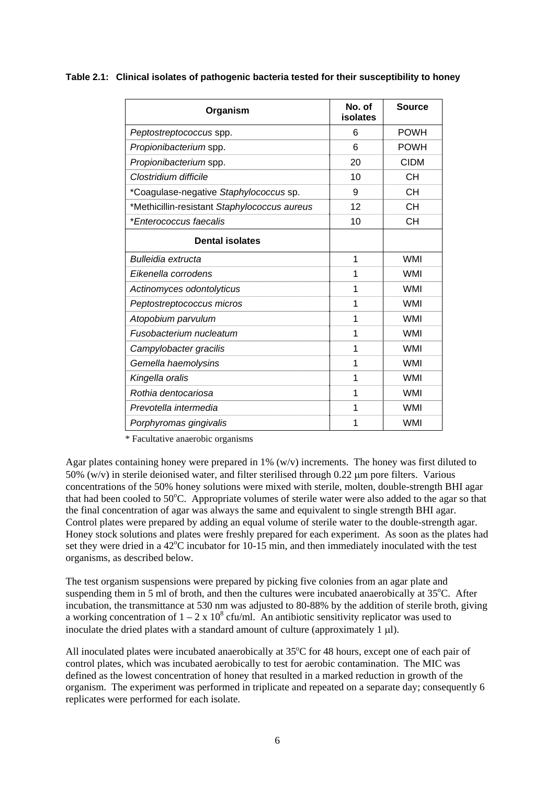| Organism                                     | No. of<br>isolates | <b>Source</b> |
|----------------------------------------------|--------------------|---------------|
| Peptostreptococcus spp.                      | 6                  | <b>POWH</b>   |
| Propionibacterium spp.                       | 6                  | <b>POWH</b>   |
| Propionibacterium spp.                       | 20                 | <b>CIDM</b>   |
| Clostridium difficile                        | 10                 | <b>CH</b>     |
| *Coagulase-negative Staphylococcus sp.       | 9                  | <b>CH</b>     |
| *Methicillin-resistant Staphylococcus aureus | 12                 | <b>CH</b>     |
| *Enterococcus faecalis                       | 10                 | <b>CH</b>     |
| <b>Dental isolates</b>                       |                    |               |
| <b>Bulleidia extructa</b>                    | 1                  | <b>WMI</b>    |
| Eikenella corrodens                          | 1                  | <b>WMI</b>    |
| Actinomyces odontolyticus                    | 1                  | <b>WMI</b>    |
| Peptostreptococcus micros                    | 1                  | <b>WMI</b>    |
| Atopobium parvulum                           | 1                  | <b>WMI</b>    |
| Fusobacterium nucleatum                      | 1                  | <b>WMI</b>    |
| Campylobacter gracilis                       | 1                  | <b>WMI</b>    |
| Gemella haemolysins                          | 1                  | <b>WMI</b>    |
| Kingella oralis                              | 1                  | <b>WMI</b>    |
| Rothia dentocariosa                          | 1                  | <b>WMI</b>    |
| Prevotella intermedia                        | 1                  | <b>WMI</b>    |
| Porphyromas gingivalis                       | 1                  | <b>WMI</b>    |

<span id="page-17-0"></span>**Table 2.1: Clinical isolates of pathogenic bacteria tested for their susceptibility to honey** 

\* Facultative anaerobic organisms

Agar plates containing honey were prepared in  $1\%$  (w/v) increments. The honey was first diluted to 50% (w/v) in sterile deionised water, and filter sterilised through 0.22 μm pore filters. Various concentrations of the 50% honey solutions were mixed with sterile, molten, double-strength BHI agar that had been cooled to 50°C. Appropriate volumes of sterile water were also added to the agar so that the final concentration of agar was always the same and equivalent to single strength BHI agar. Control plates were prepared by adding an equal volume of sterile water to the double-strength agar. Honey stock solutions and plates were freshly prepared for each experiment. As soon as the plates had set they were dried in a  $42^{\circ}$ C incubator for 10-15 min, and then immediately inoculated with the test organisms, as described below.

The test organism suspensions were prepared by picking five colonies from an agar plate and suspending them in 5 ml of broth, and then the cultures were incubated anaerobically at  $35^{\circ}$ C. After incubation, the transmittance at 530 nm was adjusted to 80-88% by the addition of sterile broth, giving a working concentration of  $1 - 2 \times 10^8$  cfu/ml. An antibiotic sensitivity replicator was used to inoculate the dried plates with a standard amount of culture (approximately 1 μl).

All inoculated plates were incubated anaerobically at  $35^{\circ}$ C for 48 hours, except one of each pair of control plates, which was incubated aerobically to test for aerobic contamination. The MIC was defined as the lowest concentration of honey that resulted in a marked reduction in growth of the organism. The experiment was performed in triplicate and repeated on a separate day; consequently 6 replicates were performed for each isolate.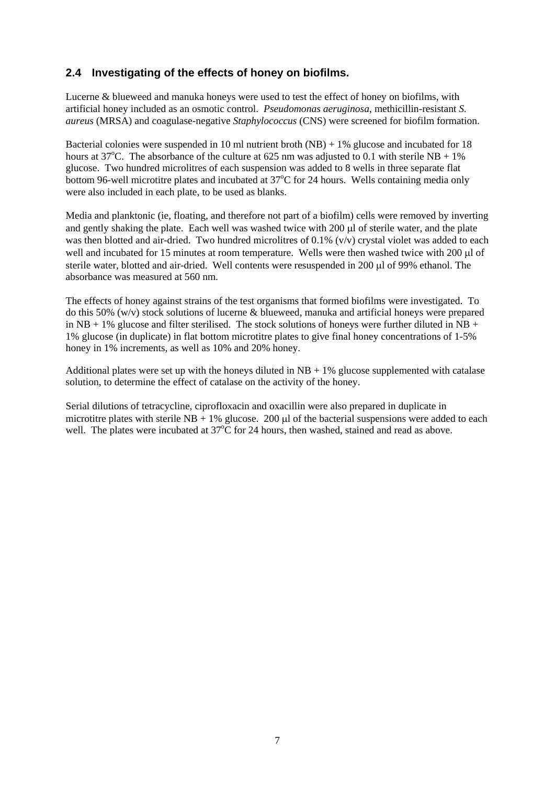#### **2.4 Investigating of the effects of honey on biofilms.**

Lucerne & blueweed and manuka honeys were used to test the effect of honey on biofilms, with artificial honey included as an osmotic control. *Pseudomonas aeruginosa*, methicillin-resistant *S. aureus* (MRSA) and coagulase-negative *Staphylococcus* (CNS) were screened for biofilm formation.

Bacterial colonies were suspended in 10 ml nutrient broth  $(NB) + 1\%$  glucose and incubated for 18 hours at 37<sup>o</sup>C. The absorbance of the culture at 625 nm was adjusted to 0.1 with sterile NB + 1% glucose. Two hundred microlitres of each suspension was added to 8 wells in three separate flat bottom 96-well microtitre plates and incubated at 37°C for 24 hours. Wells containing media only were also included in each plate, to be used as blanks.

Media and planktonic (ie, floating, and therefore not part of a biofilm) cells were removed by inverting and gently shaking the plate. Each well was washed twice with 200 μl of sterile water, and the plate was then blotted and air-dried. Two hundred microlitres of 0.1% (v/v) crystal violet was added to each well and incubated for 15 minutes at room temperature. Wells were then washed twice with 200 μl of sterile water, blotted and air-dried. Well contents were resuspended in 200 μl of 99% ethanol. The absorbance was measured at 560 nm.

The effects of honey against strains of the test organisms that formed biofilms were investigated. To do this 50% (w/v) stock solutions of lucerne & blueweed, manuka and artificial honeys were prepared in NB + 1% glucose and filter sterilised. The stock solutions of honeys were further diluted in NB + 1% glucose (in duplicate) in flat bottom microtitre plates to give final honey concentrations of 1-5% honey in 1% increments, as well as 10% and 20% honey.

Additional plates were set up with the honeys diluted in  $NB + 1\%$  glucose supplemented with catalase solution, to determine the effect of catalase on the activity of the honey.

Serial dilutions of tetracycline, ciprofloxacin and oxacillin were also prepared in duplicate in microtitre plates with sterile NB  $+ 1\%$  glucose. 200 ul of the bacterial suspensions were added to each well. The plates were incubated at 37<sup>o</sup>C for 24 hours, then washed, stained and read as above.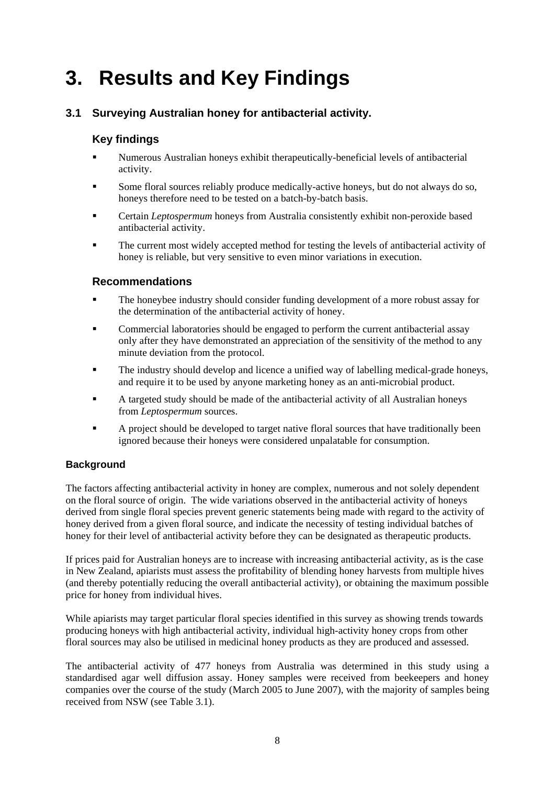### **3. Results and Key Findings**

#### **3.1 Surveying Australian honey for antibacterial activity.**

#### **Key findings**

- Numerous Australian honeys exhibit therapeutically-beneficial levels of antibacterial activity.
- Some floral sources reliably produce medically-active honeys, but do not always do so, honeys therefore need to be tested on a batch-by-batch basis.
- Certain *Leptospermum* honeys from Australia consistently exhibit non-peroxide based antibacterial activity.
- The current most widely accepted method for testing the levels of antibacterial activity of honey is reliable, but very sensitive to even minor variations in execution.

#### **Recommendations**

- The honeybee industry should consider funding development of a more robust assay for the determination of the antibacterial activity of honey.
- Commercial laboratories should be engaged to perform the current antibacterial assay only after they have demonstrated an appreciation of the sensitivity of the method to any minute deviation from the protocol.
- The industry should develop and licence a unified way of labelling medical-grade honeys, and require it to be used by anyone marketing honey as an anti-microbial product.
- A targeted study should be made of the antibacterial activity of all Australian honeys from *Leptospermum* sources.
- A project should be developed to target native floral sources that have traditionally been ignored because their honeys were considered unpalatable for consumption.

#### **Background**

The factors affecting antibacterial activity in honey are complex, numerous and not solely dependent on the floral source of origin. The wide variations observed in the antibacterial activity of honeys derived from single floral species prevent generic statements being made with regard to the activity of honey derived from a given floral source, and indicate the necessity of testing individual batches of honey for their level of antibacterial activity before they can be designated as therapeutic products.

If prices paid for Australian honeys are to increase with increasing antibacterial activity, as is the case in New Zealand, apiarists must assess the profitability of blending honey harvests from multiple hives (and thereby potentially reducing the overall antibacterial activity), or obtaining the maximum possible price for honey from individual hives.

While apiarists may target particular floral species identified in this survey as showing trends towards producing honeys with high antibacterial activity, individual high-activity honey crops from other floral sources may also be utilised in medicinal honey products as they are produced and assessed.

The antibacterial activity of 477 honeys from Australia was determined in this study using a standardised agar well diffusion assay. Honey samples were received from beekeepers and honey companies over the course of the study (March 2005 to June 2007), with the majority of samples being received from NSW (see Table 3.1).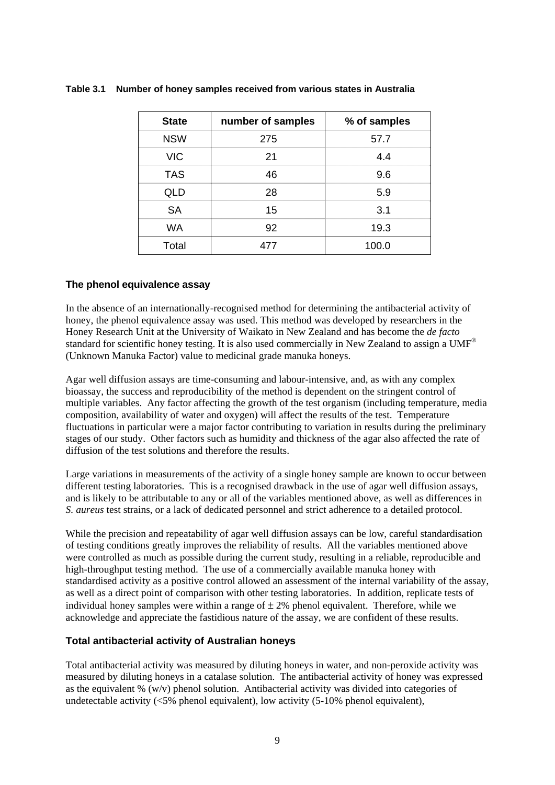| <b>State</b> | number of samples | % of samples |
|--------------|-------------------|--------------|
| <b>NSW</b>   | 275               | 57.7         |
| <b>VIC</b>   | 21                | 4.4          |
| <b>TAS</b>   | 46                | 9.6          |
| QLD          | 28                | 5.9          |
| <b>SA</b>    | 15                | 3.1          |
| WA           | 92                | 19.3         |
| Total        | 477               | 100.0        |

#### <span id="page-20-0"></span>**Table 3.1 Number of honey samples received from various states in Australia**

#### **The phenol equivalence assay**

In the absence of an internationally-recognised method for determining the antibacterial activity of honey, the phenol equivalence assay was used. This method was developed by researchers in the Honey Research Unit at the University of Waikato in New Zealand and has become the *de facto* standard for scientific honey testing. It is also used commercially in New Zealand to assign a UMF® (Unknown Manuka Factor) value to medicinal grade manuka honeys.

Agar well diffusion assays are time-consuming and labour-intensive, and, as with any complex bioassay, the success and reproducibility of the method is dependent on the stringent control of multiple variables. Any factor affecting the growth of the test organism (including temperature, media composition, availability of water and oxygen) will affect the results of the test. Temperature fluctuations in particular were a major factor contributing to variation in results during the preliminary stages of our study. Other factors such as humidity and thickness of the agar also affected the rate of diffusion of the test solutions and therefore the results.

Large variations in measurements of the activity of a single honey sample are known to occur between different testing laboratories. This is a recognised drawback in the use of agar well diffusion assays, and is likely to be attributable to any or all of the variables mentioned above, as well as differences in *S. aureus* test strains, or a lack of dedicated personnel and strict adherence to a detailed protocol.

While the precision and repeatability of agar well diffusion assays can be low, careful standardisation of testing conditions greatly improves the reliability of results. All the variables mentioned above were controlled as much as possible during the current study, resulting in a reliable, reproducible and high-throughput testing method. The use of a commercially available manuka honey with standardised activity as a positive control allowed an assessment of the internal variability of the assay, as well as a direct point of comparison with other testing laboratories. In addition, replicate tests of individual honey samples were within a range of  $\pm 2\%$  phenol equivalent. Therefore, while we acknowledge and appreciate the fastidious nature of the assay, we are confident of these results.

#### **Total antibacterial activity of Australian honeys**

Total antibacterial activity was measured by diluting honeys in water, and non-peroxide activity was measured by diluting honeys in a catalase solution. The antibacterial activity of honey was expressed as the equivalent  $\%$  (w/v) phenol solution. Antibacterial activity was divided into categories of undetectable activity  $\langle 5\%$  phenol equivalent), low activity (5-10% phenol equivalent),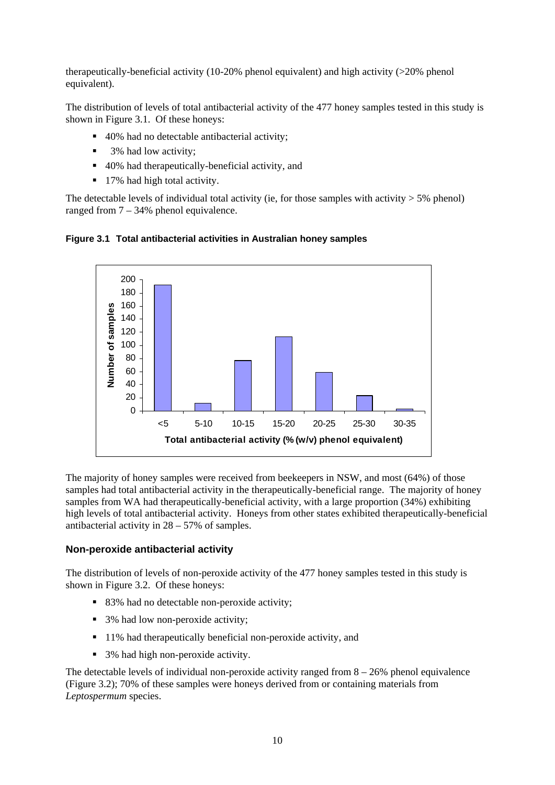<span id="page-21-0"></span>therapeutically-beneficial activity (10-20% phenol equivalent) and high activity (>20% phenol equivalent).

The distribution of levels of total antibacterial activity of the 477 honey samples tested in this study is shown in Figure 3.1. Of these honeys:

- 40% had no detectable antibacterial activity;
- 3% had low activity;
- 40% had therapeutically-beneficial activity, and
- 17% had high total activity.

The detectable levels of individual total activity (ie, for those samples with activity  $> 5\%$  phenol) ranged from  $7 - 34\%$  phenol equivalence.

**Figure 3.1 Total antibacterial activities in Australian honey samples** 



The majority of honey samples were received from beekeepers in NSW, and most (64%) of those samples had total antibacterial activity in the therapeutically-beneficial range. The majority of honey samples from WA had therapeutically-beneficial activity, with a large proportion (34%) exhibiting high levels of total antibacterial activity. Honeys from other states exhibited therapeutically-beneficial antibacterial activity in 28 – 57% of samples.

#### **Non-peroxide antibacterial activity**

The distribution of levels of non-peroxide activity of the 477 honey samples tested in this study is shown in Figure 3.2. Of these honeys:

- 83% had no detectable non-peroxide activity;
- 3% had low non-peroxide activity;
- <sup>11%</sup> had therapeutically beneficial non-peroxide activity, and
- 3% had high non-peroxide activity.

The detectable levels of individual non-peroxide activity ranged from  $8 - 26\%$  phenol equivalence (Figure 3.2); 70% of these samples were honeys derived from or containing materials from *Leptospermum* species.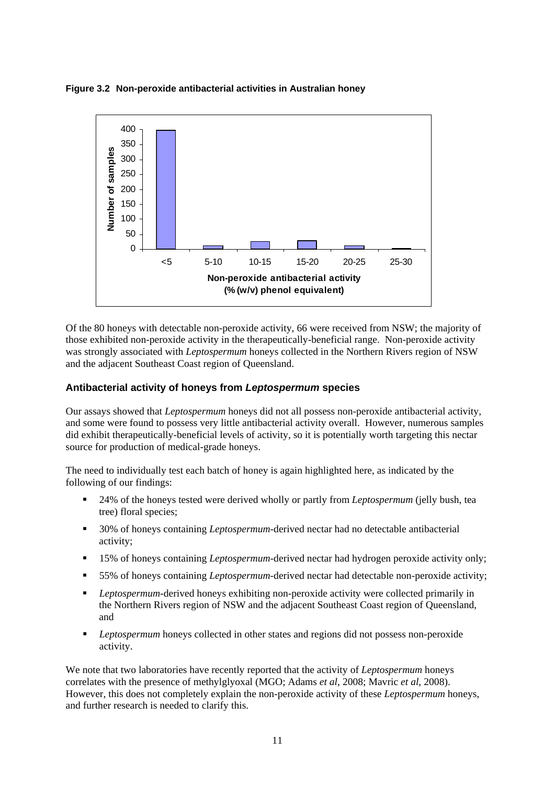<span id="page-22-0"></span>**Figure 3.2 Non-peroxide antibacterial activities in Australian honey** 



Of the 80 honeys with detectable non-peroxide activity, 66 were received from NSW; the majority of those exhibited non-peroxide activity in the therapeutically-beneficial range. Non-peroxide activity was strongly associated with *Leptospermum* honeys collected in the Northern Rivers region of NSW and the adjacent Southeast Coast region of Queensland.

#### **Antibacterial activity of honeys from** *Leptospermum* **species**

Our assays showed that *Leptospermum* honeys did not all possess non-peroxide antibacterial activity, and some were found to possess very little antibacterial activity overall. However, numerous samples did exhibit therapeutically-beneficial levels of activity, so it is potentially worth targeting this nectar source for production of medical-grade honeys.

The need to individually test each batch of honey is again highlighted here, as indicated by the following of our findings:

- 24% of the honeys tested were derived wholly or partly from *Leptospermum* (jelly bush, tea tree) floral species;
- <sup>30%</sup> of honeys containing *Leptospermum*-derived nectar had no detectable antibacterial activity;
- <sup>15%</sup> of honeys containing *Leptospermum*-derived nectar had hydrogen peroxide activity only;
- 55% of honeys containing *Leptospermum*-derived nectar had detectable non-peroxide activity;
- **Leptospermum-derived honeys exhibiting non-peroxide activity were collected primarily in** the Northern Rivers region of NSW and the adjacent Southeast Coast region of Queensland, and
- **•** Leptospermum honeys collected in other states and regions did not possess non-peroxide activity.

We note that two laboratories have recently reported that the activity of *Leptospermum* honeys correlates with the presence of methylglyoxal (MGO; Adams *et al*, 2008; Mavric *et al*, 2008). However, this does not completely explain the non-peroxide activity of these *Leptospermum* honeys, and further research is needed to clarify this.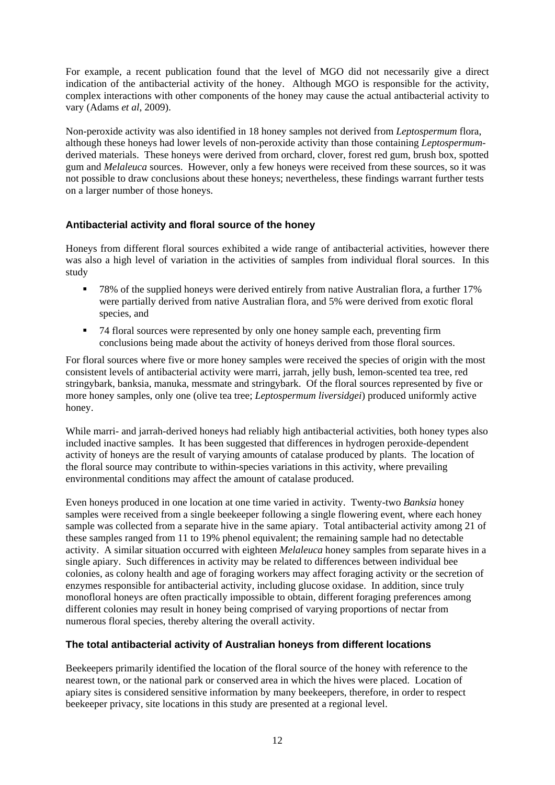For example, a recent publication found that the level of MGO did not necessarily give a direct indication of the antibacterial activity of the honey. Although MGO is responsible for the activity, complex interactions with other components of the honey may cause the actual antibacterial activity to vary (Adams *et al*, 2009).

Non-peroxide activity was also identified in 18 honey samples not derived from *Leptospermum* flora, although these honeys had lower levels of non-peroxide activity than those containing *Leptospermum*derived materials. These honeys were derived from orchard, clover, forest red gum, brush box, spotted gum and *Melaleuca* sources. However, only a few honeys were received from these sources, so it was not possible to draw conclusions about these honeys; nevertheless, these findings warrant further tests on a larger number of those honeys.

#### **Antibacterial activity and floral source of the honey**

Honeys from different floral sources exhibited a wide range of antibacterial activities, however there was also a high level of variation in the activities of samples from individual floral sources. In this study

- 78% of the supplied honeys were derived entirely from native Australian flora, a further 17% were partially derived from native Australian flora, and 5% were derived from exotic floral species, and
- 74 floral sources were represented by only one honey sample each, preventing firm conclusions being made about the activity of honeys derived from those floral sources.

For floral sources where five or more honey samples were received the species of origin with the most consistent levels of antibacterial activity were marri, jarrah, jelly bush, lemon-scented tea tree, red stringybark, banksia, manuka, messmate and stringybark. Of the floral sources represented by five or more honey samples, only one (olive tea tree; *Leptospermum liversidgei*) produced uniformly active honey.

While marri- and jarrah-derived honeys had reliably high antibacterial activities, both honey types also included inactive samples. It has been suggested that differences in hydrogen peroxide-dependent activity of honeys are the result of varying amounts of catalase produced by plants. The location of the floral source may contribute to within-species variations in this activity, where prevailing environmental conditions may affect the amount of catalase produced.

Even honeys produced in one location at one time varied in activity. Twenty-two *Banksia* honey samples were received from a single beekeeper following a single flowering event, where each honey sample was collected from a separate hive in the same apiary. Total antibacterial activity among 21 of these samples ranged from 11 to 19% phenol equivalent; the remaining sample had no detectable activity. A similar situation occurred with eighteen *Melaleuca* honey samples from separate hives in a single apiary. Such differences in activity may be related to differences between individual bee colonies, as colony health and age of foraging workers may affect foraging activity or the secretion of enzymes responsible for antibacterial activity, including glucose oxidase. In addition, since truly monofloral honeys are often practically impossible to obtain, different foraging preferences among different colonies may result in honey being comprised of varying proportions of nectar from numerous floral species, thereby altering the overall activity.

#### **The total antibacterial activity of Australian honeys from different locations**

Beekeepers primarily identified the location of the floral source of the honey with reference to the nearest town, or the national park or conserved area in which the hives were placed. Location of apiary sites is considered sensitive information by many beekeepers, therefore, in order to respect beekeeper privacy, site locations in this study are presented at a regional level.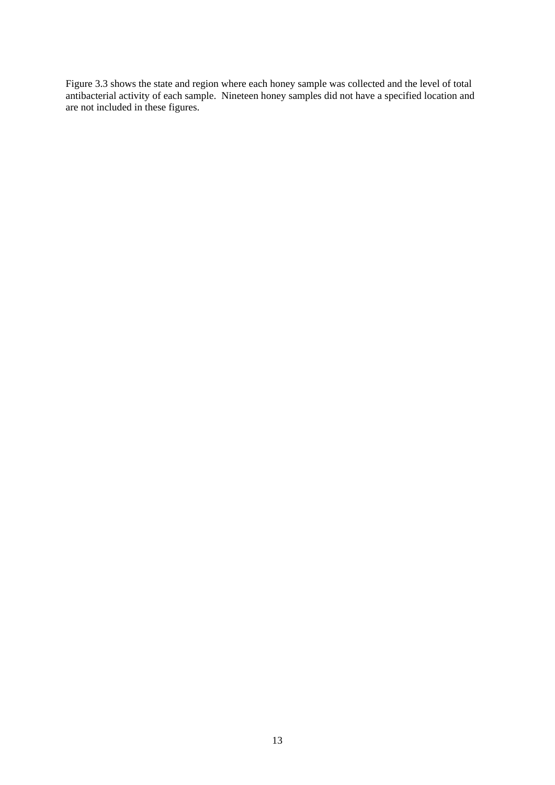Figure 3.3 shows the state and region where each honey sample was collected and the level of total antibacterial activity of each sample. Nineteen honey samples did not have a specified location and are not included in these figures.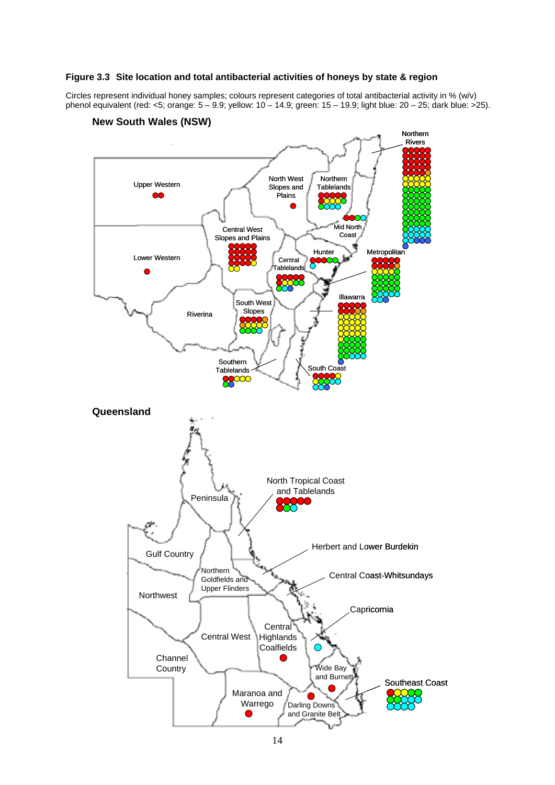#### <span id="page-25-0"></span>**Figure 3.3 Site location and total antibacterial activities of honeys by state & region**

Circles represent individual honey samples; colours represent categories of total antibacterial activity in % (w/v) phenol equivalent (red: <5; orange: 5 – 9.9; yellow: 10 – 14.9; green: 15 – 19.9; light blue: 20 – 25; dark blue: >25).



#### **New South Wales (NSW)**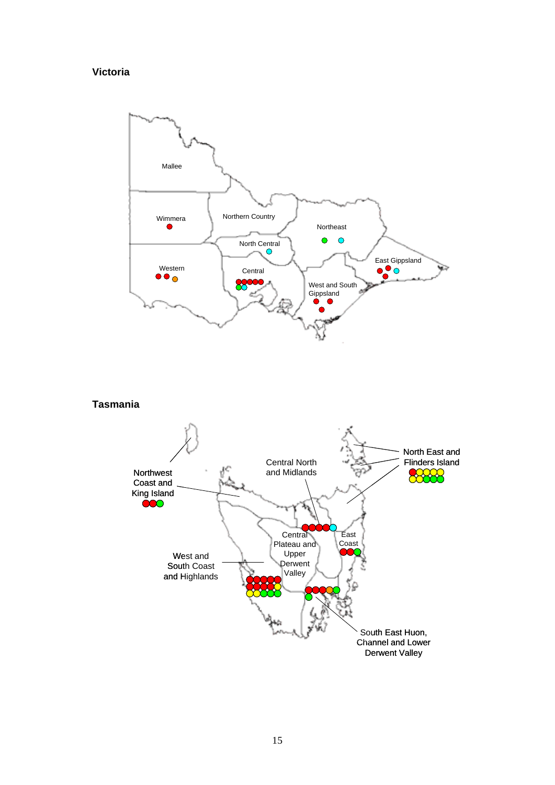#### **Victoria**



**Tasmania** 

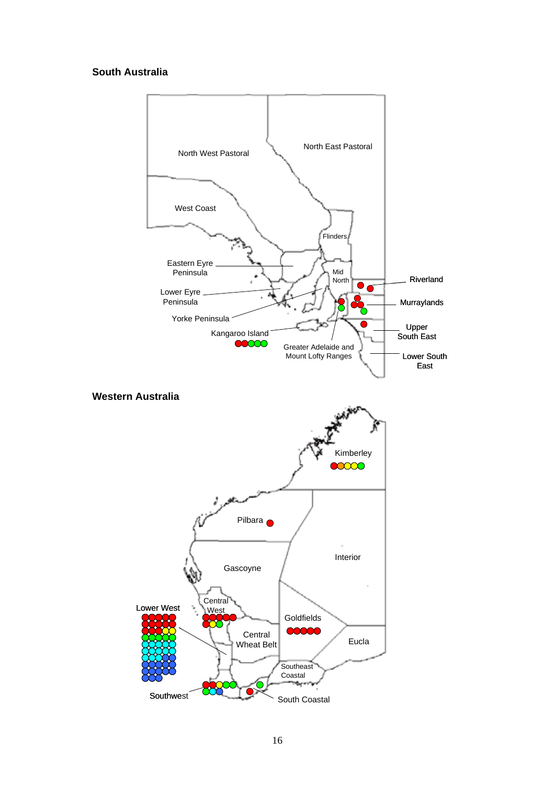#### **South Australia**

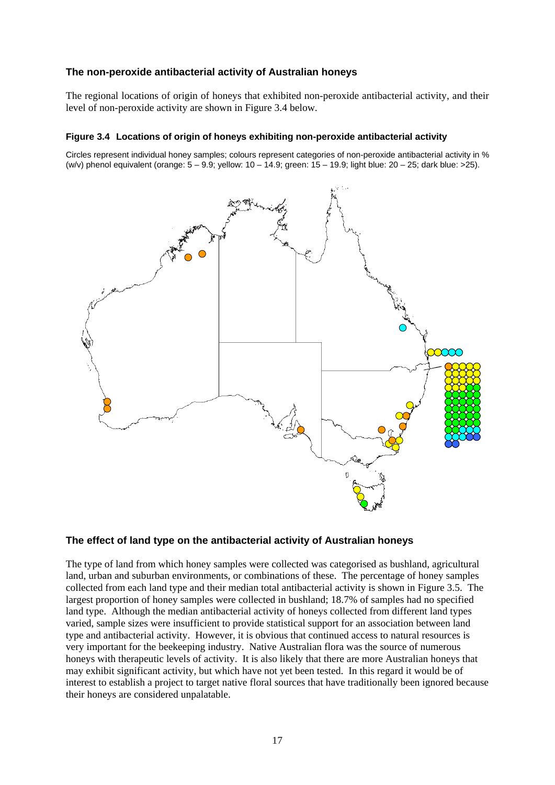#### <span id="page-28-0"></span>**The non-peroxide antibacterial activity of Australian honeys**

The regional locations of origin of honeys that exhibited non-peroxide antibacterial activity, and their level of non-peroxide activity are shown in Figure 3.4 below.

#### **Figure 3.4 Locations of origin of honeys exhibiting non-peroxide antibacterial activity**

Circles represent individual honey samples; colours represent categories of non-peroxide antibacterial activity in % (w/v) phenol equivalent (orange:  $5 - 9.9$ ; yellow:  $10 - 14.9$ ; green:  $15 - 19.9$ ; light blue:  $20 - 25$ ; dark blue:  $>25$ ).



#### **The effect of land type on the antibacterial activity of Australian honeys**

The type of land from which honey samples were collected was categorised as bushland, agricultural land, urban and suburban environments, or combinations of these. The percentage of honey samples collected from each land type and their median total antibacterial activity is shown in Figure 3.5. The largest proportion of honey samples were collected in bushland; 18.7% of samples had no specified land type. Although the median antibacterial activity of honeys collected from different land types varied, sample sizes were insufficient to provide statistical support for an association between land type and antibacterial activity. However, it is obvious that continued access to natural resources is very important for the beekeeping industry. Native Australian flora was the source of numerous honeys with therapeutic levels of activity. It is also likely that there are more Australian honeys that may exhibit significant activity, but which have not yet been tested. In this regard it would be of interest to establish a project to target native floral sources that have traditionally been ignored because their honeys are considered unpalatable.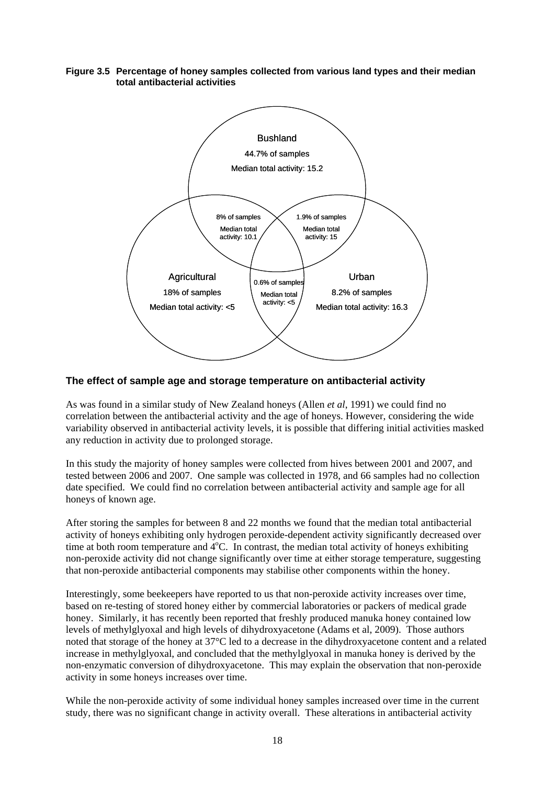#### <span id="page-29-0"></span>**Figure 3.5 Percentage of honey samples collected from various land types and their median total antibacterial activities**



#### **The effect of sample age and storage temperature on antibacterial activity**

As was found in a similar study of New Zealand honeys (Allen *et al*, 1991) we could find no correlation between the antibacterial activity and the age of honeys. However, considering the wide variability observed in antibacterial activity levels, it is possible that differing initial activities masked any reduction in activity due to prolonged storage.

In this study the majority of honey samples were collected from hives between 2001 and 2007, and tested between 2006 and 2007. One sample was collected in 1978, and 66 samples had no collection date specified. We could find no correlation between antibacterial activity and sample age for all honeys of known age.

After storing the samples for between 8 and 22 months we found that the median total antibacterial activity of honeys exhibiting only hydrogen peroxide-dependent activity significantly decreased over time at both room temperature and 4°C. In contrast, the median total activity of honeys exhibiting non-peroxide activity did not change significantly over time at either storage temperature, suggesting that non-peroxide antibacterial components may stabilise other components within the honey.

Interestingly, some beekeepers have reported to us that non-peroxide activity increases over time, based on re-testing of stored honey either by commercial laboratories or packers of medical grade honey. Similarly, it has recently been reported that freshly produced manuka honey contained low levels of methylglyoxal and high levels of dihydroxyacetone (Adams et al, 2009). Those authors noted that storage of the honey at 37°C led to a decrease in the dihydroxyacetone content and a related increase in methylglyoxal, and concluded that the methylglyoxal in manuka honey is derived by the non-enzymatic conversion of dihydroxyacetone. This may explain the observation that non-peroxide activity in some honeys increases over time.

While the non-peroxide activity of some individual honey samples increased over time in the current study, there was no significant change in activity overall. These alterations in antibacterial activity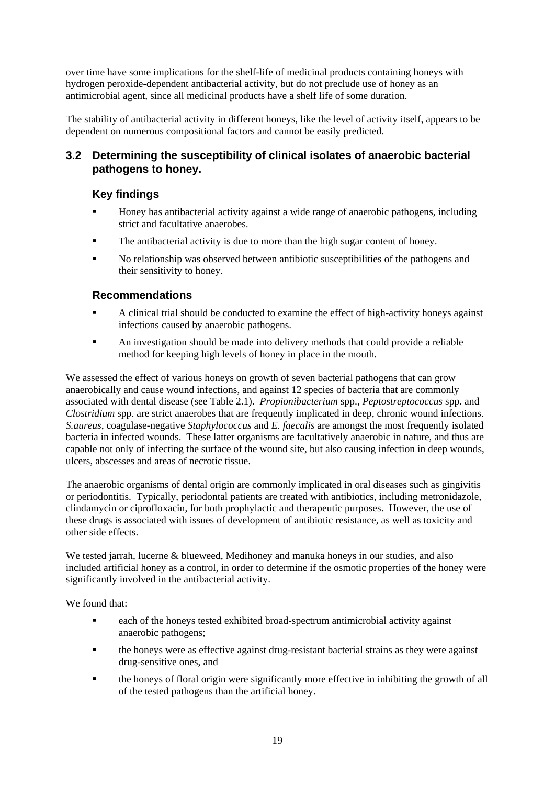over time have some implications for the shelf-life of medicinal products containing honeys with hydrogen peroxide-dependent antibacterial activity, but do not preclude use of honey as an antimicrobial agent, since all medicinal products have a shelf life of some duration.

The stability of antibacterial activity in different honeys, like the level of activity itself, appears to be dependent on numerous compositional factors and cannot be easily predicted.

#### **3.2 Determining the susceptibility of clinical isolates of anaerobic bacterial pathogens to honey.**

#### **Key findings**

- Honey has antibacterial activity against a wide range of anaerobic pathogens, including strict and facultative anaerobes.
- The antibacterial activity is due to more than the high sugar content of honey.
- No relationship was observed between antibiotic susceptibilities of the pathogens and their sensitivity to honey.

#### **Recommendations**

- A clinical trial should be conducted to examine the effect of high-activity honeys against infections caused by anaerobic pathogens.
- An investigation should be made into delivery methods that could provide a reliable method for keeping high levels of honey in place in the mouth.

We assessed the effect of various honeys on growth of seven bacterial pathogens that can grow anaerobically and cause wound infections, and against 12 species of bacteria that are commonly associated with dental disease (see Table 2.1). *Propionibacterium* spp., *Peptostreptococcus* spp. and *Clostridium* spp. are strict anaerobes that are frequently implicated in deep, chronic wound infections. *S.aureus*, coagulase-negative *Staphylococcus* and *E. faecalis* are amongst the most frequently isolated bacteria in infected wounds. These latter organisms are facultatively anaerobic in nature, and thus are capable not only of infecting the surface of the wound site, but also causing infection in deep wounds, ulcers, abscesses and areas of necrotic tissue.

The anaerobic organisms of dental origin are commonly implicated in oral diseases such as gingivitis or periodontitis. Typically, periodontal patients are treated with antibiotics, including metronidazole, clindamycin or ciprofloxacin, for both prophylactic and therapeutic purposes. However, the use of these drugs is associated with issues of development of antibiotic resistance, as well as toxicity and other side effects.

We tested jarrah, lucerne & blueweed, Medihoney and manuka honeys in our studies, and also included artificial honey as a control, in order to determine if the osmotic properties of the honey were significantly involved in the antibacterial activity.

We found that:

- each of the honeys tested exhibited broad-spectrum antimicrobial activity against anaerobic pathogens;
- the honeys were as effective against drug-resistant bacterial strains as they were against drug-sensitive ones, and
- the honeys of floral origin were significantly more effective in inhibiting the growth of all of the tested pathogens than the artificial honey.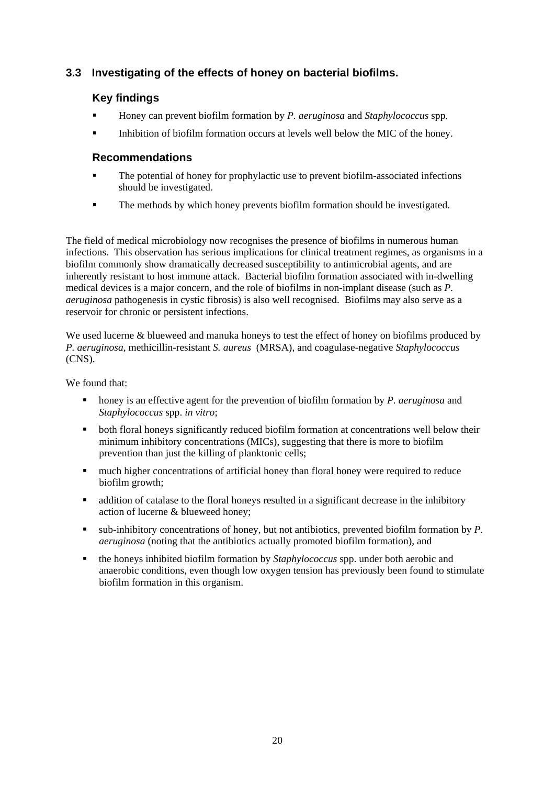#### **3.3 Investigating of the effects of honey on bacterial biofilms.**

#### **Key findings**

- Honey can prevent biofilm formation by *P. aeruginosa* and *Staphylococcus* spp.
- Inhibition of biofilm formation occurs at levels well below the MIC of the honey.

#### **Recommendations**

- The potential of honey for prophylactic use to prevent biofilm-associated infections should be investigated.
- The methods by which honey prevents biofilm formation should be investigated.

The field of medical microbiology now recognises the presence of biofilms in numerous human infections. This observation has serious implications for clinical treatment regimes, as organisms in a biofilm commonly show dramatically decreased susceptibility to antimicrobial agents, and are inherently resistant to host immune attack. Bacterial biofilm formation associated with in-dwelling medical devices is a major concern, and the role of biofilms in non-implant disease (such as *P. aeruginosa* pathogenesis in cystic fibrosis) is also well recognised. Biofilms may also serve as a reservoir for chronic or persistent infections.

We used lucerne & blueweed and manuka honeys to test the effect of honey on biofilms produced by *P. aeruginosa*, methicillin-resistant *S. aureus* (MRSA), and coagulase-negative *Staphylococcus* (CNS).

We found that:

- honey is an effective agent for the prevention of biofilm formation by *P. aeruginosa* and *Staphylococcus* spp. *in vitro*;
- both floral honeys significantly reduced biofilm formation at concentrations well below their minimum inhibitory concentrations (MICs), suggesting that there is more to biofilm prevention than just the killing of planktonic cells;
- **F** much higher concentrations of artificial honey than floral honey were required to reduce biofilm growth;
- addition of catalase to the floral honeys resulted in a significant decrease in the inhibitory action of lucerne & blueweed honey;
- sub-inhibitory concentrations of honey, but not antibiotics, prevented biofilm formation by *P. aeruginosa* (noting that the antibiotics actually promoted biofilm formation), and
- the honeys inhibited biofilm formation by *Staphylococcus* spp. under both aerobic and anaerobic conditions, even though low oxygen tension has previously been found to stimulate biofilm formation in this organism.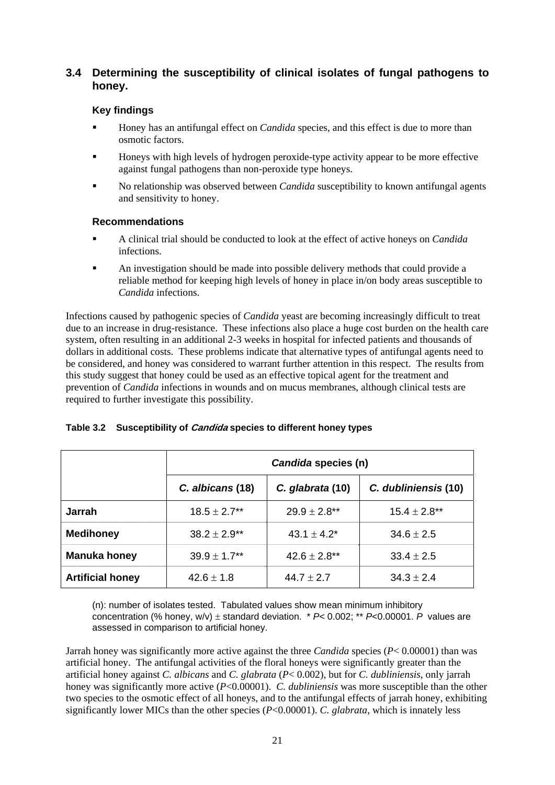#### <span id="page-32-0"></span>**3.4 Determining the susceptibility of clinical isolates of fungal pathogens to honey.**

#### **Key findings**

- Honey has an antifungal effect on *Candida* species, and this effect is due to more than osmotic factors.
- Honeys with high levels of hydrogen peroxide-type activity appear to be more effective against fungal pathogens than non-peroxide type honeys.
- No relationship was observed between *Candida* susceptibility to known antifungal agents and sensitivity to honey.

#### **Recommendations**

- A clinical trial should be conducted to look at the effect of active honeys on *Candida* infections.
- An investigation should be made into possible delivery methods that could provide a reliable method for keeping high levels of honey in place in/on body areas susceptible to *Candida* infections.

Infections caused by pathogenic species of *Candida* yeast are becoming increasingly difficult to treat due to an increase in drug-resistance. These infections also place a huge cost burden on the health care system, often resulting in an additional 2-3 weeks in hospital for infected patients and thousands of dollars in additional costs. These problems indicate that alternative types of antifungal agents need to be considered, and honey was considered to warrant further attention in this respect. The results from this study suggest that honey could be used as an effective topical agent for the treatment and prevention of *Candida* infections in wounds and on mucus membranes, although clinical tests are required to further investigate this possibility.

#### **Table 3.2 Susceptibility of Candida species to different honey types**

|                         | Candida species (n)          |                   |                      |  |
|-------------------------|------------------------------|-------------------|----------------------|--|
|                         | C. albicans (18)             | C. glabrata (10)  | C. dubliniensis (10) |  |
| <b>Jarrah</b>           | $18.5 \pm 2.7$ **            | $29.9 \pm 2.8$ ** | $15.4 \pm 2.8$ **    |  |
| <b>Medihoney</b>        | $38.2 \pm 2.9$ <sup>**</sup> | $43.1 \pm 4.2^*$  | $34.6 \pm 2.5$       |  |
| <b>Manuka honey</b>     | $39.9 \pm 1.7**$             | $42.6 \pm 2.8$ ** | $33.4 \pm 2.5$       |  |
| <b>Artificial honey</b> | $42.6 \pm 1.8$               | $44.7 + 2.7$      | $34.3 \pm 2.4$       |  |

(n): number of isolates tested. Tabulated values show mean minimum inhibitory concentration (% honey, w/v) ± standard deviation. \* *P*< 0.002; \*\* *P*<0.00001. *P* values are assessed in comparison to artificial honey.

Jarrah honey was significantly more active against the three *Candida* species (*P*< 0.00001) than was artificial honey. The antifungal activities of the floral honeys were significantly greater than the artificial honey against *C. albicans* and *C. glabrata* (*P*< 0.002), but for *C. dubliniensis*, only jarrah honey was significantly more active (*P*<0.00001). *C. dubliniensis* was more susceptible than the other two species to the osmotic effect of all honeys, and to the antifungal effects of jarrah honey, exhibiting significantly lower MICs than the other species (*P*<0.00001). *C. glabrata*, which is innately less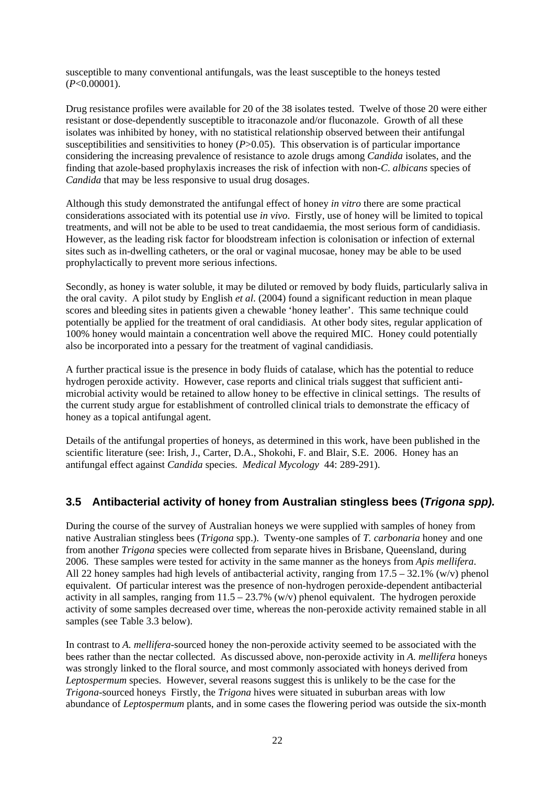susceptible to many conventional antifungals, was the least susceptible to the honeys tested (*P*<0.00001).

Drug resistance profiles were available for 20 of the 38 isolates tested. Twelve of those 20 were either resistant or dose-dependently susceptible to itraconazole and/or fluconazole. Growth of all these isolates was inhibited by honey, with no statistical relationship observed between their antifungal susceptibilities and sensitivities to honey  $(P>0.05)$ . This observation is of particular importance considering the increasing prevalence of resistance to azole drugs among *Candida* isolates, and the finding that azole-based prophylaxis increases the risk of infection with non-*C*. *albicans* species of *Candida* that may be less responsive to usual drug dosages.

Although this study demonstrated the antifungal effect of honey *in vitro* there are some practical considerations associated with its potential use *in vivo*. Firstly, use of honey will be limited to topical treatments, and will not be able to be used to treat candidaemia, the most serious form of candidiasis. However, as the leading risk factor for bloodstream infection is colonisation or infection of external sites such as in-dwelling catheters, or the oral or vaginal mucosae, honey may be able to be used prophylactically to prevent more serious infections.

Secondly, as honey is water soluble, it may be diluted or removed by body fluids, particularly saliva in the oral cavity. A pilot study by English *et al*. (2004) found a significant reduction in mean plaque scores and bleeding sites in patients given a chewable 'honey leather'. This same technique could potentially be applied for the treatment of oral candidiasis. At other body sites, regular application of 100% honey would maintain a concentration well above the required MIC. Honey could potentially also be incorporated into a pessary for the treatment of vaginal candidiasis.

A further practical issue is the presence in body fluids of catalase, which has the potential to reduce hydrogen peroxide activity. However, case reports and clinical trials suggest that sufficient antimicrobial activity would be retained to allow honey to be effective in clinical settings. The results of the current study argue for establishment of controlled clinical trials to demonstrate the efficacy of honey as a topical antifungal agent.

Details of the antifungal properties of honeys, as determined in this work, have been published in the scientific literature (see: Irish, J., Carter, D.A., Shokohi, F. and Blair, S.E. 2006. Honey has an antifungal effect against *Candida* species. *Medical Mycology* 44: 289-291).

#### **3.5 Antibacterial activity of honey from Australian stingless bees (***Trigona spp).*

During the course of the survey of Australian honeys we were supplied with samples of honey from native Australian stingless bees (*Trigona* spp.). Twenty-one samples of *T. carbonaria* honey and one from another *Trigona* species were collected from separate hives in Brisbane, Queensland, during 2006. These samples were tested for activity in the same manner as the honeys from *Apis mellifera*. All 22 honey samples had high levels of antibacterial activity, ranging from  $17.5 - 32.1\%$  (w/v) phenol equivalent. Of particular interest was the presence of non-hydrogen peroxide-dependent antibacterial activity in all samples, ranging from  $11.5 - 23.7\%$  (w/y) phenol equivalent. The hydrogen peroxide activity of some samples decreased over time, whereas the non-peroxide activity remained stable in all samples (see Table 3.3 below).

In contrast to *A. mellifera*-sourced honey the non-peroxide activity seemed to be associated with the bees rather than the nectar collected. As discussed above, non-peroxide activity in *A. mellifera* honeys was strongly linked to the floral source, and most commonly associated with honeys derived from *Leptospermum* species. However, several reasons suggest this is unlikely to be the case for the *Trigona*-sourced honeys Firstly, the *Trigona* hives were situated in suburban areas with low abundance of *Leptospermum* plants, and in some cases the flowering period was outside the six-month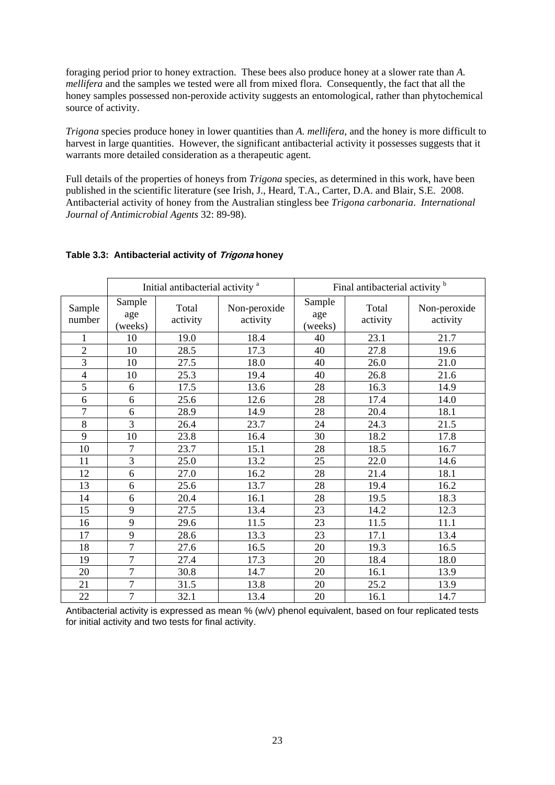<span id="page-34-0"></span>foraging period prior to honey extraction. These bees also produce honey at a slower rate than *A. mellifera* and the samples we tested were all from mixed flora. Consequently, the fact that all the honey samples possessed non-peroxide activity suggests an entomological, rather than phytochemical source of activity.

*Trigona* species produce honey in lower quantities than *A. mellifera*, and the honey is more difficult to harvest in large quantities. However, the significant antibacterial activity it possesses suggests that it warrants more detailed consideration as a therapeutic agent.

Full details of the properties of honeys from *Trigona* species, as determined in this work, have been published in the scientific literature (see Irish, J., Heard, T.A., Carter, D.A. and Blair, S.E. 2008. Antibacterial activity of honey from the Australian stingless bee *Trigona carbonaria*. *International Journal of Antimicrobial Agents* 32: 89-98).

|                  | Initial antibacterial activity <sup>a</sup> |                   |                          | Final antibacterial activity <sup>b</sup> |                   |                          |
|------------------|---------------------------------------------|-------------------|--------------------------|-------------------------------------------|-------------------|--------------------------|
| Sample<br>number | Sample<br>age<br>(weeks)                    | Total<br>activity | Non-peroxide<br>activity | Sample<br>age<br>(weeks)                  | Total<br>activity | Non-peroxide<br>activity |
| $\mathbf{1}$     | 10                                          | 19.0              | 18.4                     | 40                                        | 23.1              | 21.7                     |
| $\overline{2}$   | 10                                          | 28.5              | 17.3                     | 40                                        | 27.8              | 19.6                     |
| $\overline{3}$   | 10                                          | 27.5              | 18.0                     | 40                                        | 26.0              | 21.0                     |
| $\overline{4}$   | 10                                          | 25.3              | 19.4                     | 40                                        | 26.8              | 21.6                     |
| 5                | 6                                           | 17.5              | 13.6                     | 28                                        | 16.3              | 14.9                     |
| 6                | 6                                           | 25.6              | 12.6                     | 28                                        | 17.4              | 14.0                     |
| 7                | 6                                           | 28.9              | 14.9                     | 28                                        | 20.4              | 18.1                     |
| 8                | 3                                           | 26.4              | 23.7                     | 24                                        | 24.3              | 21.5                     |
| 9                | 10                                          | 23.8              | 16.4                     | 30                                        | 18.2              | 17.8                     |
| 10               | $\overline{7}$                              | 23.7              | 15.1                     | 28                                        | 18.5              | 16.7                     |
| 11               | $\overline{3}$                              | 25.0              | 13.2                     | 25                                        | 22.0              | 14.6                     |
| 12               | 6                                           | 27.0              | 16.2                     | 28                                        | 21.4              | 18.1                     |
| 13               | 6                                           | 25.6              | 13.7                     | 28                                        | 19.4              | 16.2                     |
| 14               | 6                                           | 20.4              | 16.1                     | 28                                        | 19.5              | 18.3                     |
| 15               | 9                                           | 27.5              | 13.4                     | 23                                        | 14.2              | 12.3                     |
| 16               | 9                                           | 29.6              | 11.5                     | 23                                        | 11.5              | 11.1                     |
| 17               | 9                                           | 28.6              | 13.3                     | 23                                        | 17.1              | 13.4                     |
| 18               | $\overline{7}$                              | 27.6              | 16.5                     | 20                                        | 19.3              | 16.5                     |
| 19               | $\overline{7}$                              | 27.4              | 17.3                     | 20                                        | 18.4              | 18.0                     |
| 20               | $\overline{7}$                              | 30.8              | 14.7                     | 20                                        | 16.1              | 13.9                     |
| 21               | $\overline{7}$                              | 31.5              | 13.8                     | 20                                        | 25.2              | 13.9                     |
| 22               | $\overline{7}$                              | 32.1              | 13.4                     | 20                                        | 16.1              | 14.7                     |

#### **Table 3.3: Antibacterial activity of Trigona honey**

Antibacterial activity is expressed as mean % (w/v) phenol equivalent, based on four replicated tests for initial activity and two tests for final activity.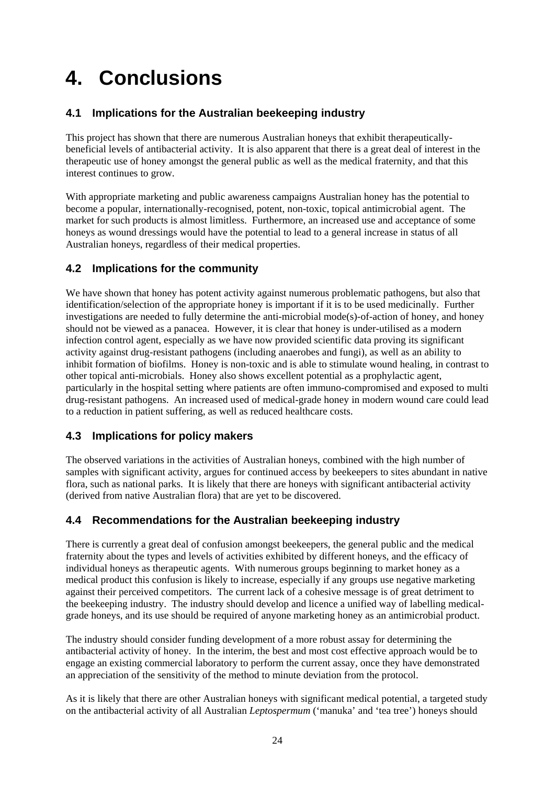## **4. Conclusions**

#### **4.1 Implications for the Australian beekeeping industry**

This project has shown that there are numerous Australian honeys that exhibit therapeuticallybeneficial levels of antibacterial activity. It is also apparent that there is a great deal of interest in the therapeutic use of honey amongst the general public as well as the medical fraternity, and that this interest continues to grow.

With appropriate marketing and public awareness campaigns Australian honey has the potential to become a popular, internationally-recognised, potent, non-toxic, topical antimicrobial agent. The market for such products is almost limitless. Furthermore, an increased use and acceptance of some honeys as wound dressings would have the potential to lead to a general increase in status of all Australian honeys, regardless of their medical properties.

#### **4.2 Implications for the community**

We have shown that honey has potent activity against numerous problematic pathogens, but also that identification/selection of the appropriate honey is important if it is to be used medicinally. Further investigations are needed to fully determine the anti-microbial mode(s)-of-action of honey, and honey should not be viewed as a panacea. However, it is clear that honey is under-utilised as a modern infection control agent, especially as we have now provided scientific data proving its significant activity against drug-resistant pathogens (including anaerobes and fungi), as well as an ability to inhibit formation of biofilms. Honey is non-toxic and is able to stimulate wound healing, in contrast to other topical anti-microbials. Honey also shows excellent potential as a prophylactic agent, particularly in the hospital setting where patients are often immuno-compromised and exposed to multi drug-resistant pathogens. An increased used of medical-grade honey in modern wound care could lead to a reduction in patient suffering, as well as reduced healthcare costs.

#### **4.3 Implications for policy makers**

The observed variations in the activities of Australian honeys, combined with the high number of samples with significant activity, argues for continued access by beekeepers to sites abundant in native flora, such as national parks. It is likely that there are honeys with significant antibacterial activity (derived from native Australian flora) that are yet to be discovered.

#### **4.4 Recommendations for the Australian beekeeping industry**

There is currently a great deal of confusion amongst beekeepers, the general public and the medical fraternity about the types and levels of activities exhibited by different honeys, and the efficacy of individual honeys as therapeutic agents. With numerous groups beginning to market honey as a medical product this confusion is likely to increase, especially if any groups use negative marketing against their perceived competitors. The current lack of a cohesive message is of great detriment to the beekeeping industry. The industry should develop and licence a unified way of labelling medicalgrade honeys, and its use should be required of anyone marketing honey as an antimicrobial product.

The industry should consider funding development of a more robust assay for determining the antibacterial activity of honey. In the interim, the best and most cost effective approach would be to engage an existing commercial laboratory to perform the current assay, once they have demonstrated an appreciation of the sensitivity of the method to minute deviation from the protocol.

As it is likely that there are other Australian honeys with significant medical potential, a targeted study on the antibacterial activity of all Australian *Leptospermum* ('manuka' and 'tea tree') honeys should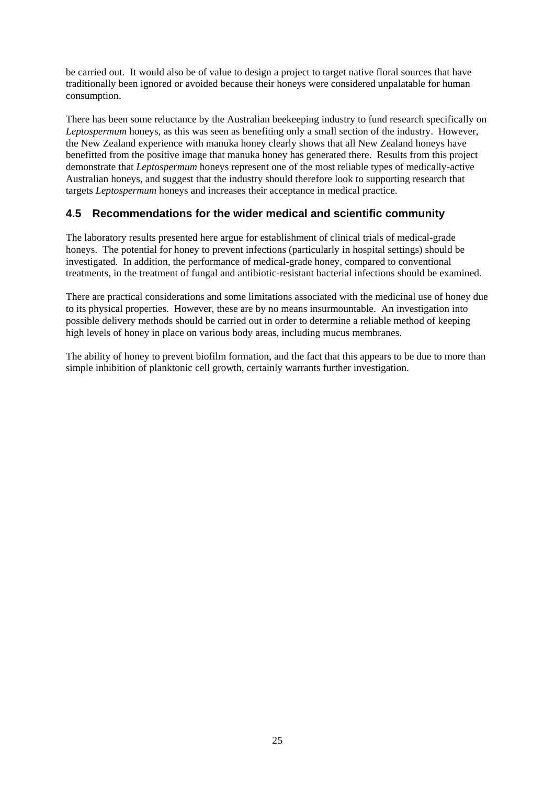be carried out. It would also be of value to design a project to target native floral sources that have traditionally been ignored or avoided because their honeys were considered unpalatable for human consumption.

There has been some reluctance by the Australian beekeeping industry to fund research specifically on *Leptospermum* honeys, as this was seen as benefiting only a small section of the industry. However, the New Zealand experience with manuka honey clearly shows that all New Zealand honeys have benefitted from the positive image that manuka honey has generated there. Results from this project demonstrate that *Leptospermum* honeys represent one of the most reliable types of medically-active Australian honeys, and suggest that the industry should therefore look to supporting research that targets *Leptospermum* honeys and increases their acceptance in medical practice.

#### **4.5 Recommendations for the wider medical and scientific community**

The laboratory results presented here argue for establishment of clinical trials of medical-grade honeys. The potential for honey to prevent infections (particularly in hospital settings) should be investigated. In addition, the performance of medical-grade honey, compared to conventional treatments, in the treatment of fungal and antibiotic-resistant bacterial infections should be examined.

There are practical considerations and some limitations associated with the medicinal use of honey due to its physical properties. However, these are by no means insurmountable. An investigation into possible delivery methods should be carried out in order to determine a reliable method of keeping high levels of honey in place on various body areas, including mucus membranes.

The ability of honey to prevent biofilm formation, and the fact that this appears to be due to more than simple inhibition of planktonic cell growth, certainly warrants further investigation.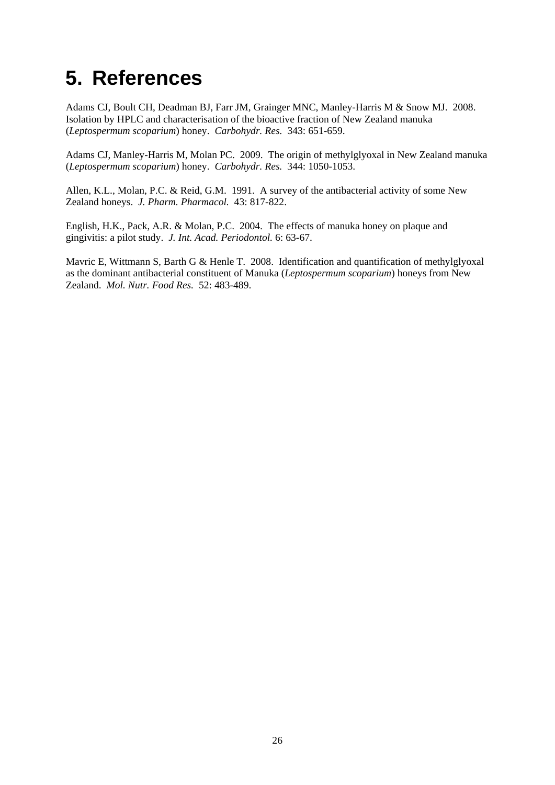### **5. References**

Adams CJ, Boult CH, Deadman BJ, Farr JM, Grainger MNC, Manley-Harris M & Snow MJ. 2008. Isolation by HPLC and characterisation of the bioactive fraction of New Zealand manuka (*Leptospermum scoparium*) honey. *Carbohydr. Res.* 343: 651-659.

Adams CJ, Manley-Harris M, Molan PC. 2009. The origin of methylglyoxal in New Zealand manuka (*Leptospermum scoparium*) honey. *Carbohydr. Res.* 344: 1050-1053.

Allen, K.L., Molan, P.C. & Reid, G.M. 1991. A survey of the antibacterial activity of some New Zealand honeys. *J. Pharm. Pharmacol.* 43: 817-822.

English, H.K., Pack, A.R. & Molan, P.C. 2004. The effects of manuka honey on plaque and gingivitis: a pilot study. *J. Int. Acad. Periodontol.* 6: 63-67.

Mavric E, Wittmann S, Barth G & Henle T. 2008. Identification and quantification of methylglyoxal as the dominant antibacterial constituent of Manuka (*Leptospermum scoparium*) honeys from New Zealand. *Mol. Nutr. Food Res.* 52: 483-489.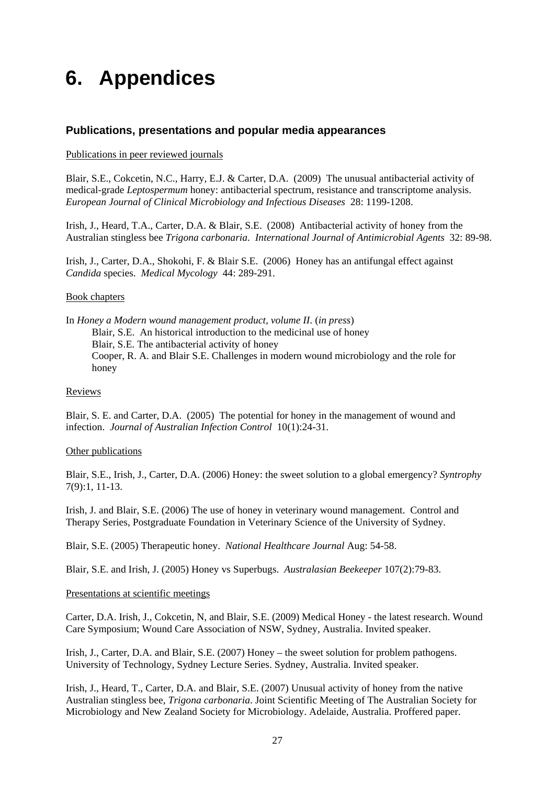## **6. Appendices**

#### **Publications, presentations and popular media appearances**

#### Publications in peer reviewed journals

Blair, S.E., Cokcetin, N.C., Harry, E.J. & Carter, D.A. (2009) The unusual antibacterial activity of medical-grade *Leptospermum* honey: antibacterial spectrum, resistance and transcriptome analysis. *European Journal of Clinical Microbiology and Infectious Diseases* 28: 1199-1208.

Irish, J., Heard, T.A., Carter, D.A. & Blair, S.E. (2008) Antibacterial activity of honey from the Australian stingless bee *Trigona carbonaria*. *International Journal of Antimicrobial Agents* 32: 89-98.

Irish, J., Carter, D.A., Shokohi, F. & Blair S.E. (2006) Honey has an antifungal effect against *Candida* species. *Medical Mycology* 44: 289-291.

#### Book chapters

In *Honey a Modern wound management product, volume II*. (*in press*) Blair, S.E. An historical introduction to the medicinal use of honey Blair, S.E. The antibacterial activity of honey Cooper, R. A. and Blair S.E. Challenges in modern wound microbiology and the role for honey

#### Reviews

Blair, S. E. and Carter, D.A. (2005) The potential for honey in the management of wound and infection. *Journal of Australian Infection Control* 10(1):24-31.

#### Other publications

Blair, S.E., Irish, J., Carter, D.A. (2006) Honey: the sweet solution to a global emergency? *Syntrophy* 7(9):1, 11-13.

Irish, J. and Blair, S.E. (2006) The use of honey in veterinary wound management. Control and Therapy Series, Postgraduate Foundation in Veterinary Science of the University of Sydney.

Blair, S.E. (2005) Therapeutic honey. *National Healthcare Journal* Aug: 54-58.

Blair, S.E. and Irish, J. (2005) Honey vs Superbugs. *Australasian Beekeeper* 107(2):79-83.

#### Presentations at scientific meetings

Carter, D.A. Irish, J., Cokcetin, N, and Blair, S.E. (2009) Medical Honey - the latest research. Wound Care Symposium; Wound Care Association of NSW, Sydney, Australia. Invited speaker.

Irish, J., Carter, D.A. and Blair, S.E. (2007) Honey – the sweet solution for problem pathogens. University of Technology, Sydney Lecture Series. Sydney, Australia. Invited speaker.

Irish, J., Heard, T., Carter, D.A. and Blair, S.E. (2007) Unusual activity of honey from the native Australian stingless bee, *Trigona carbonaria*. Joint Scientific Meeting of The Australian Society for Microbiology and New Zealand Society for Microbiology. Adelaide, Australia. Proffered paper.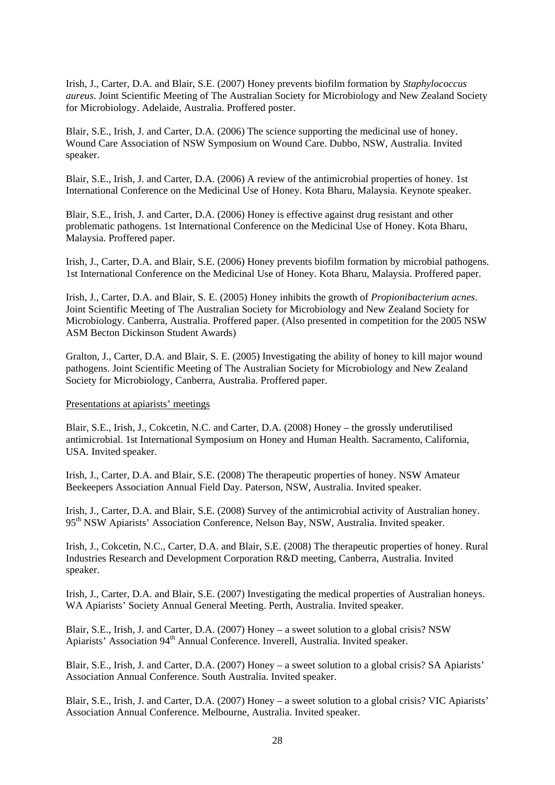Irish, J., Carter, D.A. and Blair, S.E. (2007) Honey prevents biofilm formation by *Staphylococcus aureus*. Joint Scientific Meeting of The Australian Society for Microbiology and New Zealand Society for Microbiology. Adelaide, Australia. Proffered poster.

Blair, S.E., Irish, J. and Carter, D.A. (2006) The science supporting the medicinal use of honey. Wound Care Association of NSW Symposium on Wound Care. Dubbo, NSW, Australia. Invited speaker.

Blair, S.E., Irish, J. and Carter, D.A. (2006) A review of the antimicrobial properties of honey. 1st International Conference on the Medicinal Use of Honey. Kota Bharu, Malaysia. Keynote speaker.

Blair, S.E., Irish, J. and Carter, D.A. (2006) Honey is effective against drug resistant and other problematic pathogens. 1st International Conference on the Medicinal Use of Honey. Kota Bharu, Malaysia. Proffered paper.

Irish, J., Carter, D.A. and Blair, S.E. (2006) Honey prevents biofilm formation by microbial pathogens. 1st International Conference on the Medicinal Use of Honey. Kota Bharu, Malaysia. Proffered paper.

Irish, J., Carter, D.A. and Blair, S. E. (2005) Honey inhibits the growth of *Propionibacterium acnes*. Joint Scientific Meeting of The Australian Society for Microbiology and New Zealand Society for Microbiology. Canberra, Australia. Proffered paper. (Also presented in competition for the 2005 NSW ASM Becton Dickinson Student Awards)

Gralton, J., Carter, D.A. and Blair, S. E. (2005) Investigating the ability of honey to kill major wound pathogens. Joint Scientific Meeting of The Australian Society for Microbiology and New Zealand Society for Microbiology, Canberra, Australia. Proffered paper.

#### Presentations at apiarists' meetings

Blair, S.E., Irish, J., Cokcetin, N.C. and Carter, D.A. (2008) Honey – the grossly underutilised antimicrobial. 1st International Symposium on Honey and Human Health. Sacramento, California, USA. Invited speaker.

Irish, J., Carter, D.A. and Blair, S.E. (2008) The therapeutic properties of honey. NSW Amateur Beekeepers Association Annual Field Day. Paterson, NSW, Australia. Invited speaker.

Irish, J., Carter, D.A. and Blair, S.E. (2008) Survey of the antimicrobial activity of Australian honey. 95th NSW Apiarists' Association Conference, Nelson Bay, NSW, Australia. Invited speaker.

Irish, J., Cokcetin, N.C., Carter, D.A. and Blair, S.E. (2008) The therapeutic properties of honey. Rural Industries Research and Development Corporation R&D meeting, Canberra, Australia. Invited speaker.

Irish, J., Carter, D.A. and Blair, S.E. (2007) Investigating the medical properties of Australian honeys. WA Apiarists' Society Annual General Meeting. Perth, Australia. Invited speaker.

Blair, S.E., Irish, J. and Carter, D.A. (2007) Honey – a sweet solution to a global crisis? NSW Apiarists' Association 94<sup>th</sup> Annual Conference. Inverell, Australia. Invited speaker.

Blair, S.E., Irish, J. and Carter, D.A. (2007) Honey – a sweet solution to a global crisis? SA Apiarists' Association Annual Conference. South Australia. Invited speaker.

Blair, S.E., Irish, J. and Carter, D.A. (2007) Honey – a sweet solution to a global crisis? VIC Apiarists' Association Annual Conference. Melbourne, Australia. Invited speaker.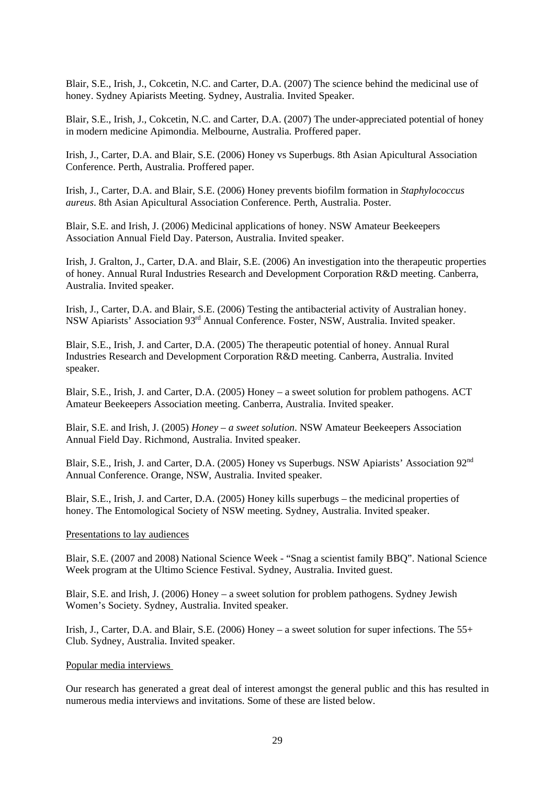Blair, S.E., Irish, J., Cokcetin, N.C. and Carter, D.A. (2007) The science behind the medicinal use of honey. Sydney Apiarists Meeting. Sydney, Australia. Invited Speaker.

Blair, S.E., Irish, J., Cokcetin, N.C. and Carter, D.A. (2007) The under-appreciated potential of honey in modern medicine Apimondia. Melbourne, Australia. Proffered paper.

Irish, J., Carter, D.A. and Blair, S.E. (2006) Honey vs Superbugs. 8th Asian Apicultural Association Conference. Perth, Australia. Proffered paper.

Irish, J., Carter, D.A. and Blair, S.E. (2006) Honey prevents biofilm formation in *Staphylococcus aureus*. 8th Asian Apicultural Association Conference. Perth, Australia. Poster.

Blair, S.E. and Irish, J. (2006) Medicinal applications of honey. NSW Amateur Beekeepers Association Annual Field Day. Paterson, Australia. Invited speaker.

Irish, J. Gralton, J., Carter, D.A. and Blair, S.E. (2006) An investigation into the therapeutic properties of honey. Annual Rural Industries Research and Development Corporation R&D meeting. Canberra, Australia. Invited speaker.

Irish, J., Carter, D.A. and Blair, S.E. (2006) Testing the antibacterial activity of Australian honey. NSW Apiarists' Association 93rd Annual Conference. Foster, NSW, Australia. Invited speaker.

Blair, S.E., Irish, J. and Carter, D.A. (2005) The therapeutic potential of honey. Annual Rural Industries Research and Development Corporation R&D meeting. Canberra, Australia. Invited speaker.

Blair, S.E., Irish, J. and Carter, D.A. (2005) Honey – a sweet solution for problem pathogens. ACT Amateur Beekeepers Association meeting. Canberra, Australia. Invited speaker.

Blair, S.E. and Irish, J. (2005) *Honey – a sweet solution*. NSW Amateur Beekeepers Association Annual Field Day. Richmond, Australia. Invited speaker.

Blair, S.E., Irish, J. and Carter, D.A. (2005) Honey vs Superbugs. NSW Apiarists' Association 92nd Annual Conference. Orange, NSW, Australia. Invited speaker.

Blair, S.E., Irish, J. and Carter, D.A. (2005) Honey kills superbugs – the medicinal properties of honey. The Entomological Society of NSW meeting. Sydney, Australia. Invited speaker.

#### Presentations to lay audiences

Blair, S.E. (2007 and 2008) National Science Week - "Snag a scientist family BBQ". National Science Week program at the Ultimo Science Festival. Sydney, Australia. Invited guest.

Blair, S.E. and Irish, J. (2006) Honey – a sweet solution for problem pathogens. Sydney Jewish Women's Society. Sydney, Australia. Invited speaker.

Irish, J., Carter, D.A. and Blair, S.E. (2006) Honey – a sweet solution for super infections. The 55+ Club. Sydney, Australia. Invited speaker.

#### Popular media interviews

Our research has generated a great deal of interest amongst the general public and this has resulted in numerous media interviews and invitations. Some of these are listed below.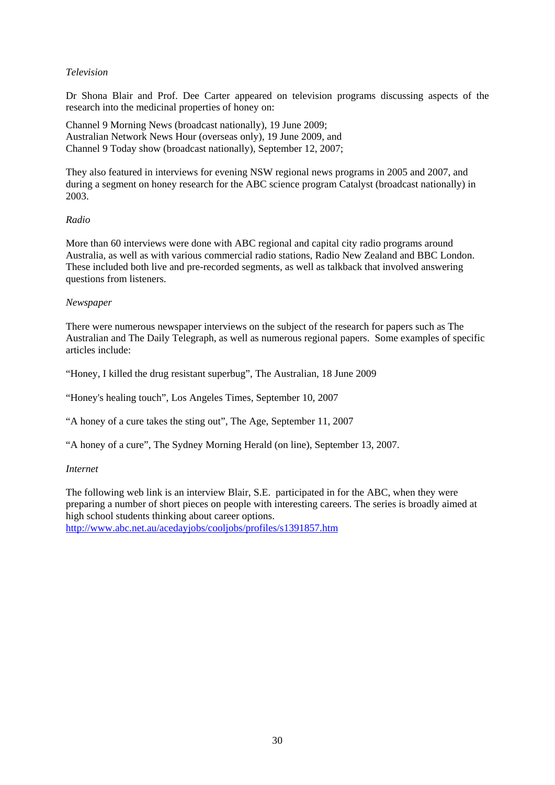#### *Television*

Dr Shona Blair and Prof. Dee Carter appeared on television programs discussing aspects of the research into the medicinal properties of honey on:

Channel 9 Morning News (broadcast nationally), 19 June 2009; Australian Network News Hour (overseas only), 19 June 2009, and Channel 9 Today show (broadcast nationally), September 12, 2007;

They also featured in interviews for evening NSW regional news programs in 2005 and 2007, and during a segment on honey research for the ABC science program Catalyst (broadcast nationally) in 2003.

#### *Radio*

More than 60 interviews were done with ABC regional and capital city radio programs around Australia, as well as with various commercial radio stations, Radio New Zealand and BBC London. These included both live and pre-recorded segments, as well as talkback that involved answering questions from listeners.

#### *Newspaper*

There were numerous newspaper interviews on the subject of the research for papers such as The Australian and The Daily Telegraph, as well as numerous regional papers. Some examples of specific articles include:

"Honey, I killed the drug resistant superbug", The Australian, 18 June 2009

"Honey's healing touch", Los Angeles Times, September 10, 2007

"A honey of a cure takes the sting out", The Age, September 11, 2007

"A honey of a cure", The Sydney Morning Herald (on line), September 13, 2007.

#### *Internet*

The following web link is an interview Blair, S.E. participated in for the ABC, when they were preparing a number of short pieces on people with interesting careers. The series is broadly aimed at high school students thinking about career options.

<http://www.abc.net.au/acedayjobs/cooljobs/profiles/s1391857.htm>